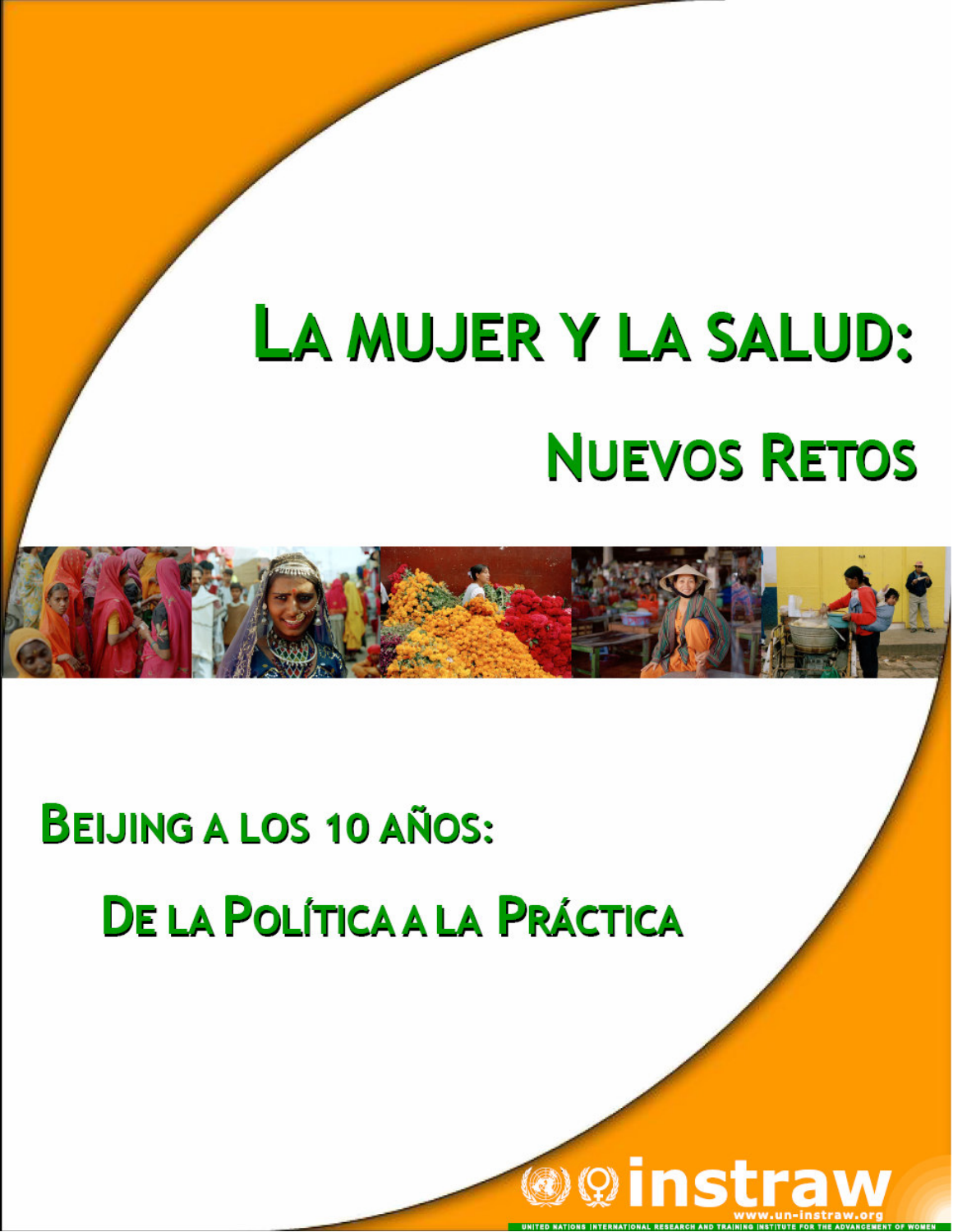# LA MUJER Y LA SALUD: **NUEVOS RETOS**

## **BEIJING A LOS 10 AÑOS: DE LA POLÍTICA A LA PRÁCTICA**

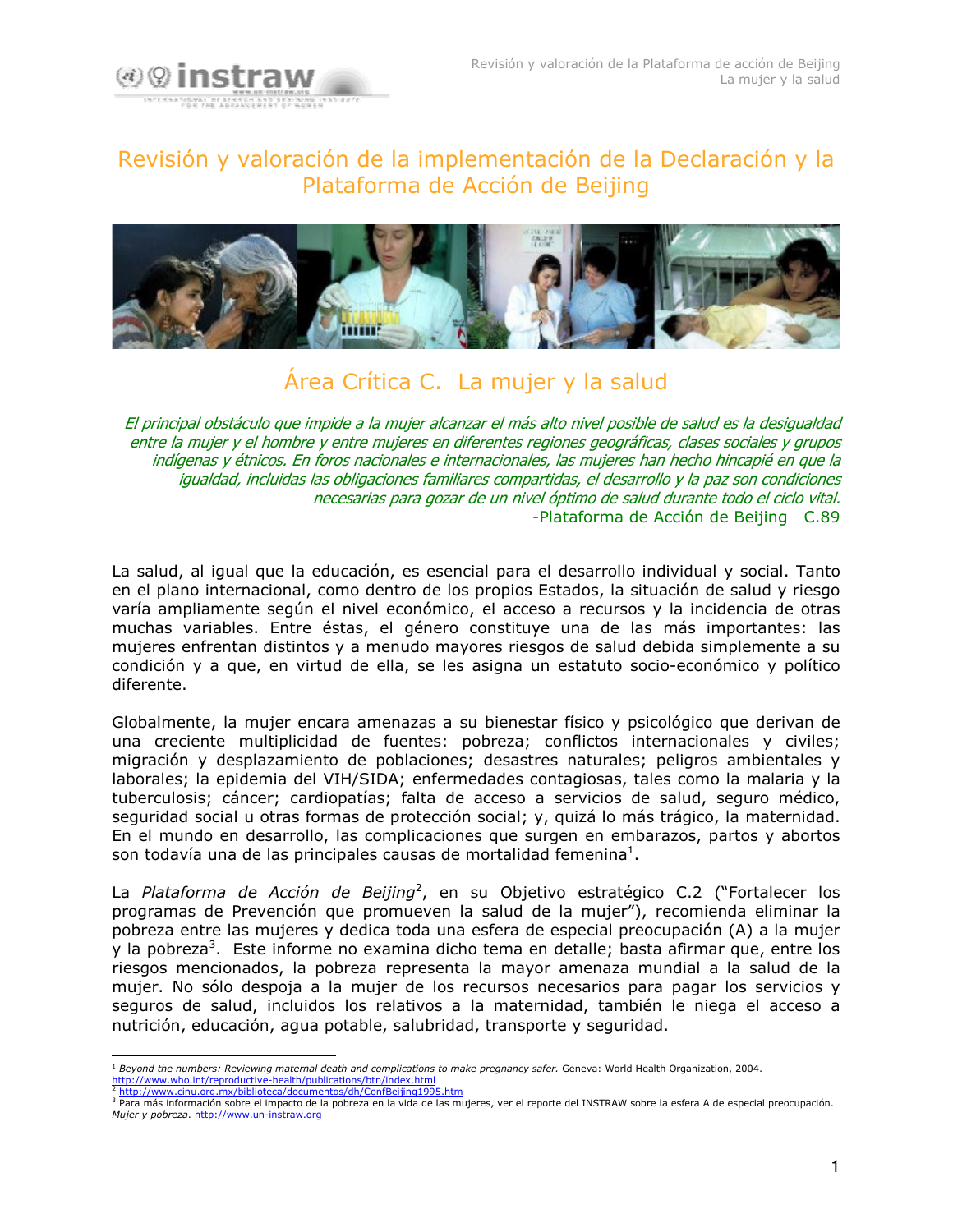

## Revisión y valoración de la implementación de la Declaración y la Plataforma de Acción de Beijing



## Área Crítica C. La mujer y la salud

El principal obstáculo que impide a la mujer alcanzar el más alto nivel posible de salud es la desigualdad entre la mujer y el hombre y entre mujeres en diferentes regiones geográficas, clases sociales y grupos indígenas y étnicos. En foros nacionales e internacionales, las mujeres han hecho hincapié en que la igualdad, incluidas las obligaciones familiares compartidas, el desarrollo y la paz son condiciones necesarias para gozar de un nivel óptimo de salud durante todo el ciclo vital. -Plataforma de Acción de Beijing C.89

La salud, al igual que la educación, es esencial para el desarrollo individual y social. Tanto en el plano internacional, como dentro de los propios Estados, la situación de salud y riesgo varía ampliamente según el nivel económico, el acceso a recursos y la incidencia de otras muchas variables. Entre éstas, el género constituye una de las más importantes: las mujeres enfrentan distintos y a menudo mayores riesgos de salud debida simplemente a su condición y a que, en virtud de ella, se les asigna un estatuto socio-económico y político diferente.

Globalmente, la mujer encara amenazas a su bienestar físico y psicológico que derivan de una creciente multiplicidad de fuentes: pobreza; conflictos internacionales y civiles; migración y desplazamiento de poblaciones; desastres naturales; peligros ambientales y laborales; la epidemia del VIH/SIDA; enfermedades contagiosas, tales como la malaria y la tuberculosis; cáncer; cardiopatías; falta de acceso a servicios de salud, seguro médico, seguridad social u otras formas de protección social; y, quizá lo más trágico, la maternidad. En el mundo en desarrollo, las complicaciones que surgen en embarazos, partos y abortos son todavía una de las principales causas de mortalidad femenina<sup>1</sup>.

La Plataforma de Acción de Beijing<sup>2</sup>, en su Objetivo estratégico C.2 ("Fortalecer los programas de Prevención que promueven la salud de la mujer"), recomienda eliminar la pobreza entre las mujeres y dedica toda una esfera de especial preocupación (A) a la mujer y la pobreza<sup>3</sup>. Este informe no examina dicho tema en detalle; basta afirmar que, entre los riesgos mencionados, la pobreza representa la mayor amenaza mundial a la salud de la mujer. No sólo despoja a la mujer de los recursos necesarios para pagar los servicios y seguros de salud, incluidos los relativos a la maternidad, también le niega el acceso a nutrición, educación, agua potable, salubridad, transporte y seguridad.

 $<sup>1</sup>$  Beyond the numbers: Reviewing maternal death and complications to make pregnancy safer. Geneva: World Health Organization, 2004.</sup> http://www.who.int/reproductive-health/publications/btn/index.html http://www.cinu.org.mx/biblioteca/documentos/dh/ConfBeijing1995.htm

a para más información sobre el impacto de la pobreza en la vida de las mujeres, ver el reporte del INSTRAW sobre la esfera A de especial preocupación. Mujer y pobreza. http://www.un-instraw.org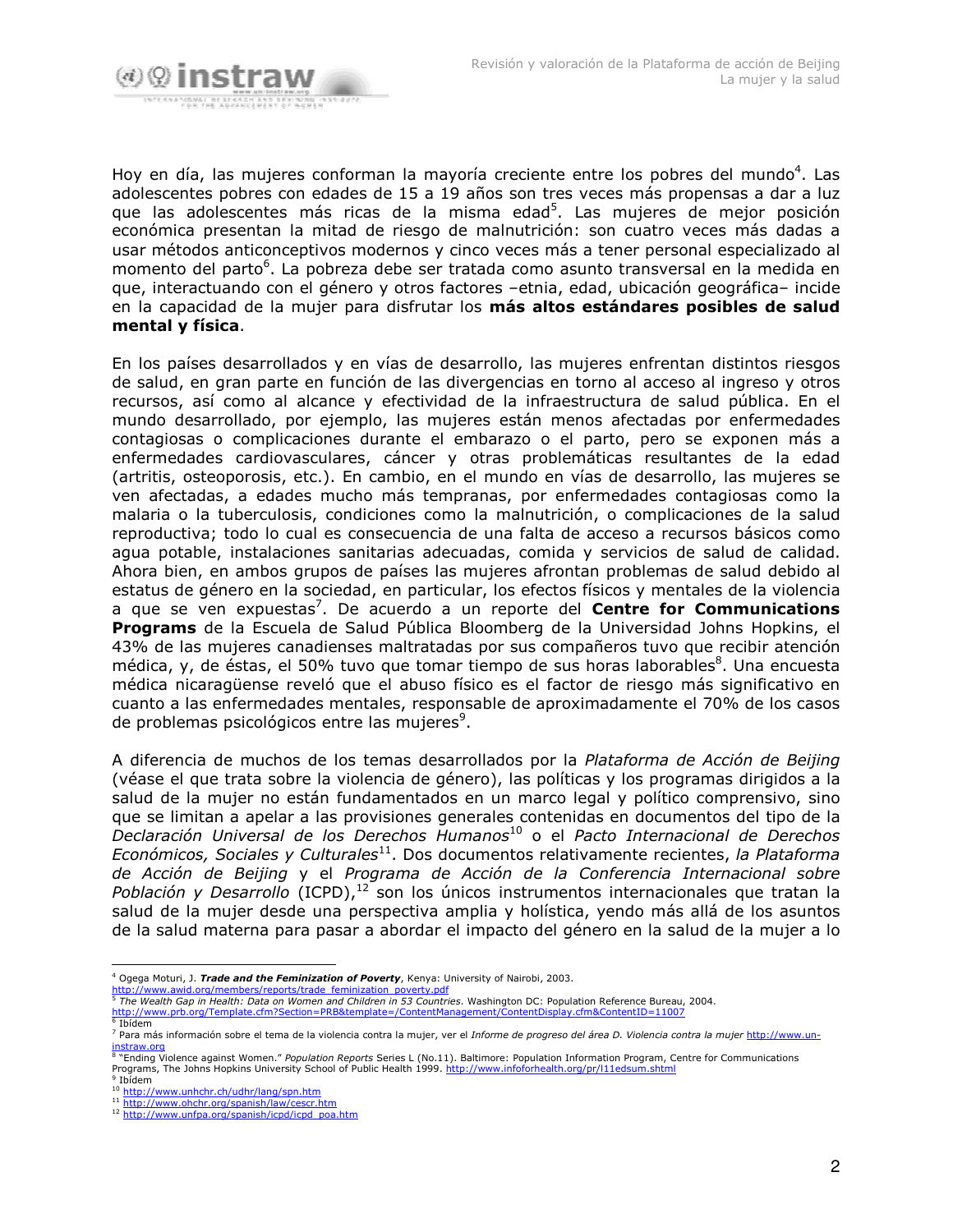

Hoy en día, las mujeres conforman la mayoría creciente entre los pobres del mundo<sup>4</sup>. Las adolescentes pobres con edades de 15 a 19 años son tres veces más propensas a dar a luz que las adolescentes más ricas de la misma edad<sup>5</sup>. Las mujeres de mejor posición económica presentan la mitad de riesgo de malnutrición: son cuatro veces más dadas a usar métodos anticonceptivos modernos y cinco veces más a tener personal especializado al momento del parto<sup>6</sup>. La pobreza debe ser tratada como asunto transversal en la medida en que, interactuando con el género y otros factores -etnia, edad, ubicación geográfica- incide en la capacidad de la mujer para disfrutar los más altos estándares posibles de salud mental y física.

En los países desarrollados y en vías de desarrollo, las mujeres enfrentan distintos riesgos de salud, en gran parte en función de las divergencias en torno al acceso al ingreso y otros recursos, así como al alcance y efectividad de la infraestructura de salud pública. En el mundo desarrollado, por ejemplo, las mujeres están menos afectadas por enfermedades contagiosas o complicaciones durante el embarazo o el parto, pero se exponen más a enfermedades cardiovasculares, cáncer y otras problemáticas resultantes de la edad (artritis, osteoporosis, etc.). En cambio, en el mundo en vías de desarrollo, las mujeres se ven afectadas, a edades mucho más tempranas, por enfermedades contagiosas como la malaria o la tuberculosis, condiciones como la malnutrición, o complicaciones de la salud reproductiva: todo lo cual es consecuencia de una falta de acceso a recursos básicos como aqua potable, instalaciones sanitarias adecuadas, comida y servicios de salud de calidad. Ahora bien, en ambos grupos de países las mujeres afrontan problemas de salud debido al estatus de género en la sociedad, en particular, los efectos físicos y mentales de la violencia a que se ven expuestas<sup>7</sup>. De acuerdo a un reporte del **Centre for Communications** Programs de la Escuela de Salud Pública Bloomberg de la Universidad Johns Hopkins, el 43% de las mujeres canadienses maltratadas por sus compañeros tuvo que recibir atención médica, y, de éstas, el 50% tuvo que tomar tiempo de sus horas laborables<sup>8</sup>. Una encuesta médica nicaragüense reveló que el abuso físico es el factor de riesgo más significativo en cuanto a las enfermedades mentales, responsable de aproximadamente el 70% de los casos de problemas psicológicos entre las mujeres<sup>9</sup>.

A diferencia de muchos de los temas desarrollados por la Plataforma de Acción de Beijing (véase el que trata sobre la violencia de género), las políticas y los programas dirigidos a la salud de la mujer no están fundamentados en un marco legal y político comprensivo, sino que se limitan a apelar a las provisiones generales contenidas en documentos del tipo de la Declaración Universal de los Derechos Humanos<sup>10</sup> o el Pacto Internacional de Derechos Económicos, Sociales y Culturales<sup>11</sup>. Dos documentos relativamente recientes, la Plataforma de Acción de Beijing y el Programa de Acción de la Conferencia Internacional sobre Población y Desarrollo (ICPD), $12$  son los únicos instrumentos internacionales que tratan la salud de la mujer desde una perspectiva amplia y holística, yendo más allá de los asuntos de la salud materna para pasar a abordar el impacto del género en la salud de la mujer a lo

d.org/members/reports/trade feminization poverty.pdf

<sup>&</sup>lt;sup>4</sup> Ogega Moturi, J. *Trade and the Feminization of Poverty*, Kenya: University of Nairobi, 2003.

http://www.awid.org/members/reports/trade\_feminization\_poverty.par<br>5 The Wealth Gap in Health: Data on Women and Children in 53 Countries. Washington DC: Population Reference Bureau, 2004. org/Template.cfm?Section=PRB&template=/ContentManagement/ContentDisplay.cfm&ContentID=11007  $6$  Ibidem

<sup>7</sup> Para más información sobre el tema de la violencia contra la mujer, ver el Informe de progreso del área D. Violencia contra la mujer http://www.un-

instraw.org<br><sup>8</sup> "Ending Violence against Women." Population Reports Series L (No.11). Baltimore: Population Information Program, Centre for Communications<br>Programs, The Johns Hopkins University School of Public Health 1999  $9$  Ibidem

<sup>&</sup>lt;sup>10</sup> http://www.unhchr.ch/udhr/lang/spn.htm

<sup>11</sup> http://www.ohchr.org/spanish/law/cescr.htm

<sup>12</sup> http://www.unfpa.org/spanish/icpd/icpd\_poa.htm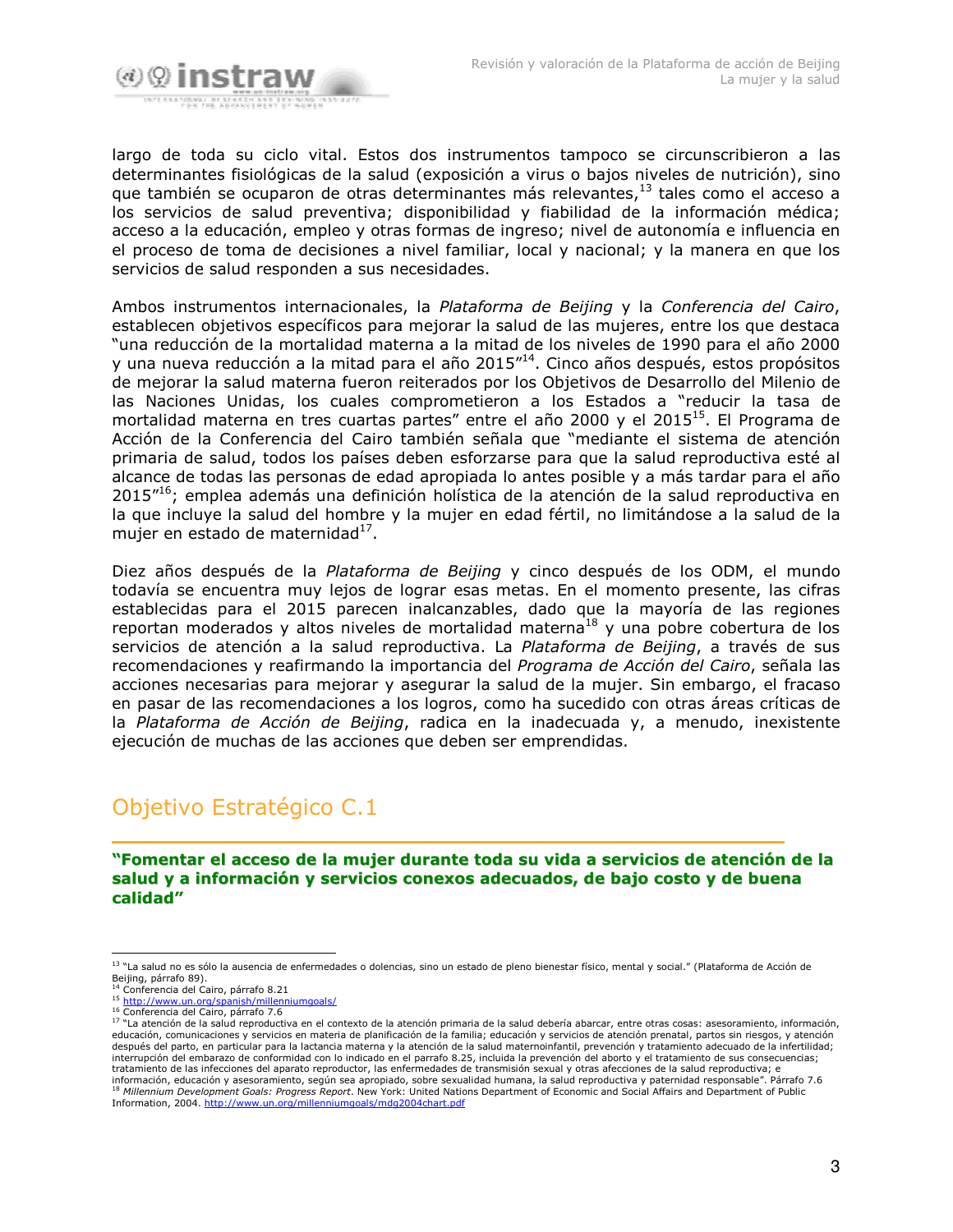

largo de toda su ciclo vital. Estos dos instrumentos tampoco se circunscribieron a las determinantes fisiológicas de la salud (exposición a virus o bajos niveles de nutrición), sino que también se ocuparon de otras determinantes más relevantes, 13 tales como el acceso a los servicios de salud preventiva; disponibilidad y fiabilidad de la información médica; acceso a la educación, empleo y otras formas de ingreso; nivel de autonomía e influencia en el proceso de toma de decisiones a nivel familiar, local y nacional; y la manera en que los servicios de salud responden a sus necesidades.

Ambos instrumentos internacionales, la Plataforma de Beijing y la Conferencia del Cairo, establecen objetivos específicos para mejorar la salud de las mujeres, entre los que destaca "una reducción de la mortalidad materna a la mitad de los niveles de 1990 para el año 2000 y una nueva reducción a la mitad para el año 2015"<sup>14</sup>. Cinco años después, estos propósitos de mejorar la salud materna fueron reiterados por los Objetivos de Desarrollo del Milenio de las Naciones Unidas, los cuales comprometieron a los Estados a "reducir la tasa de mortalidad materna en tres cuartas partes" entre el año 2000 y el 2015<sup>15</sup>. El Programa de Acción de la Conferencia del Cairo también señala que "mediante el sistema de atención primaria de salud, todos los países deben esforzarse para que la salud reproductiva esté al alcance de todas las personas de edad apropiada lo antes posible y a más tardar para el año 2015"<sup>16</sup>; emplea además una definición holística de la atención de la salud reproductiva en la que incluye la salud del hombre y la mujer en edad fértil, no limitándose a la salud de la mujer en estado de maternidad<sup>17</sup>.

Diez años después de la Plataforma de Beijing y cinco después de los ODM, el mundo todavía se encuentra muy lejos de lograr esas metas. En el momento presente, las cifras establecidas para el 2015 parecen inalcanzables, dado que la mayoría de las regiones reportan moderados y altos niveles de mortalidad materna<sup>18</sup> y una pobre cobertura de los servicios de atención a la salud reproductiva. La Plataforma de Beijing, a través de sus recomendaciones y reafirmando la importancia del Programa de Acción del Cairo, señala las acciones necesarias para mejorar y asegurar la salud de la mujer. Sin embargo, el fracaso en pasar de las recomendaciones a los logros, como ha sucedido con otras áreas críticas de la Plataforma de Acción de Beijing, radica en la inadecuada y, a menudo, inexistente ejecución de muchas de las acciones que deben ser emprendidas.

## Objetivo Estratégico C.1

#### "Fomentar el acceso de la mujer durante toda su vida a servicios de atención de la salud y a información y servicios conexos adecuados, de bajo costo y de buena calidad"

<sup>&</sup>lt;sup>13</sup> "La salud no es sólo la ausencia de enfermedades o dolencias, sino un estado de pleno bienestar físico, mental y social." (Plataforma de Acción de Beijing, párrafo 89).<br><sup>14</sup> Conferencia del Cairo, párrafo 8.21

<sup>&</sup>lt;sup>15</sup> http://www.un.org/spa nish/millenniumgoals/

<sup>16</sup> Conferencia del Cairo, párrafo 7.6 17 "La atención de la salud reproductiva en el contexto de la atención primaria de la salud debería abarcar, entre otras cosas: asesoramiento, información, educación, comunicaciones y servicios en materia de planificación de la familia; educación y servicios de atención prenatal, partos sin riesgos, y atención después del parto, en particular para la lactancia materna y la atención de la salud maternoinfantil, prevención y tratamiento adecuado de la infertilidad; interrupción del embarazo de conformidad con lo indicado en el parrafo 8.25, incluida la prevención del aborto y el tratamiento de sus consecuencias;<br>tratamiento de las infecciones del aparato reproductor, las enfermedades información, educación y asesoramiento, según sea apropiado, sobre sexualidad humana, la salud reproductiva y paternidad responsable". Párrafo 7.6 <sup>18</sup> Millennium Development Goals: Progress Report. New York: United Nations Department of Economic and Social Affairs and Department of Public Information, 2004. http://www.un.org/millenniumgoals/mdg2004chart.pdf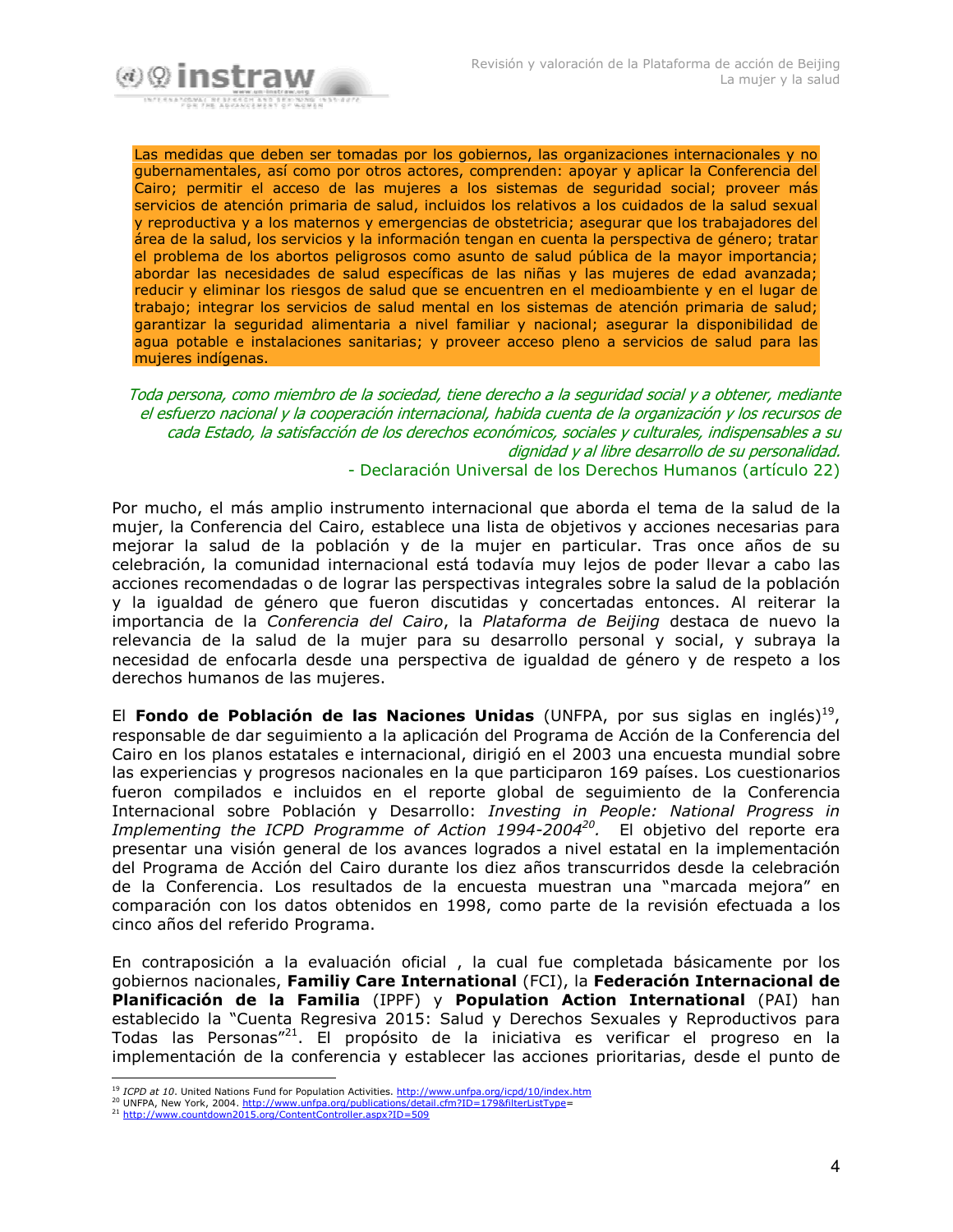

Las medidas que deben ser tomadas por los gobiernos, las organizaciones internacionales y no gubernamentales, así como por otros actores, comprenden: apoyar y aplicar la Conferencia del Cairo; permitir el acceso de las mujeres a los sistemas de seguridad social; proveer más servicios de atención primaria de salud, incluidos los relativos a los cuidados de la salud sexual y reproductiva y a los maternos y emergencias de obstetricia; asegurar que los trabajadores del área de la salud, los servicios y la información tengan en cuenta la perspectiva de género; tratar el problema de los abortos peligrosos como asunto de salud pública de la mayor importancia; abordar las necesidades de salud específicas de las niñas y las mujeres de edad avanzada; reducir y eliminar los riesgos de salud que se encuentren en el medioambiente y en el lugar de trabajo; integrar los servicios de salud mental en los sistemas de atención primaria de salud; garantizar la seguridad alimentaria a nivel familiar y nacional; asegurar la disponibilidad de agua potable e instalaciones sanitarias; y proveer acceso pleno a servicios de salud para las mujeres indígenas.

Toda persona, como miembro de la sociedad, tiene derecho a la seguridad social y a obtener, mediante el esfuerzo nacional y la cooperación internacional, habida cuenta de la organización y los recursos de cada Estado, la satisfacción de los derechos económicos, sociales y culturales, indispensables a su dignidad y al libre desarrollo de su personalidad. - Declaración Universal de los Derechos Humanos (artículo 22)

Por mucho, el más amplio instrumento internacional que aborda el tema de la salud de la mujer, la Conferencia del Cairo, establece una lista de objetivos y acciones necesarias para mejorar la salud de la población y de la mujer en particular. Tras once años de su celebración, la comunidad internacional está todavía muy lejos de poder llevar a cabo las acciones recomendadas o de lograr las perspectivas integrales sobre la salud de la población y la igualdad de género que fueron discutidas y concertadas entonces. Al reiterar la importancia de la Conferencia del Cairo, la Plataforma de Beijing destaca de nuevo la relevancia de la salud de la mujer para su desarrollo personal y social, y subraya la necesidad de enfocarla desde una perspectiva de igualdad de género y de respeto a los derechos humanos de las mujeres.

El Fondo de Población de las Naciones Unidas (UNFPA, por sus siglas en inglés)<sup>19</sup>, responsable de dar sequimiento a la aplicación del Programa de Acción de la Conferencia del Cairo en los planos estatales e internacional, dirigió en el 2003 una encuesta mundial sobre las experiencias y progresos nacionales en la que participaron 169 países. Los cuestionarios fueron compilados e incluidos en el reporte global de seguimiento de la Conferencia Internacional sobre Población y Desarrollo: Investing in People: National Progress in Implementing the ICPD Programme of Action 1994-2004<sup>20</sup>. El objetivo del reporte era presentar una visión general de los avances logrados a nivel estatal en la implementación del Programa de Acción del Cairo durante los diez años transcurridos desde la celebración de la Conferencia. Los resultados de la encuesta muestran una "marcada mejora" en comparación con los datos obtenidos en 1998, como parte de la revisión efectuada a los cinco años del referido Programa.

En contraposición a la evaluación oficial, la cual fue completada básicamente por los gobiernos nacionales, Familiy Care International (FCI), la Federación Internacional de Planificación de la Familia (IPPF) y Population Action International (PAI) han establecido la "Cuenta Regresiva 2015: Salud y Derechos Sexuales y Reproductivos para Todas las Personas"<sup>21</sup>. El propósito de la iniciativa es verificar el progreso en la implementación de la conferencia y establecer las acciones prioritarias, desde el punto de

<sup>&</sup>lt;sup>19</sup> ICPD at 10. United Nations Fund for Population Activities. http://www.unfpa.org/icpd/10/index.htm 20 UNFPA, New York, 2004. http://www.unfpa.org/publications/detail.cfm?ID=179&filterListType=

<sup>&</sup>lt;sup>21</sup> http://www.countdown2015.org/ContentController.aspx?ID=509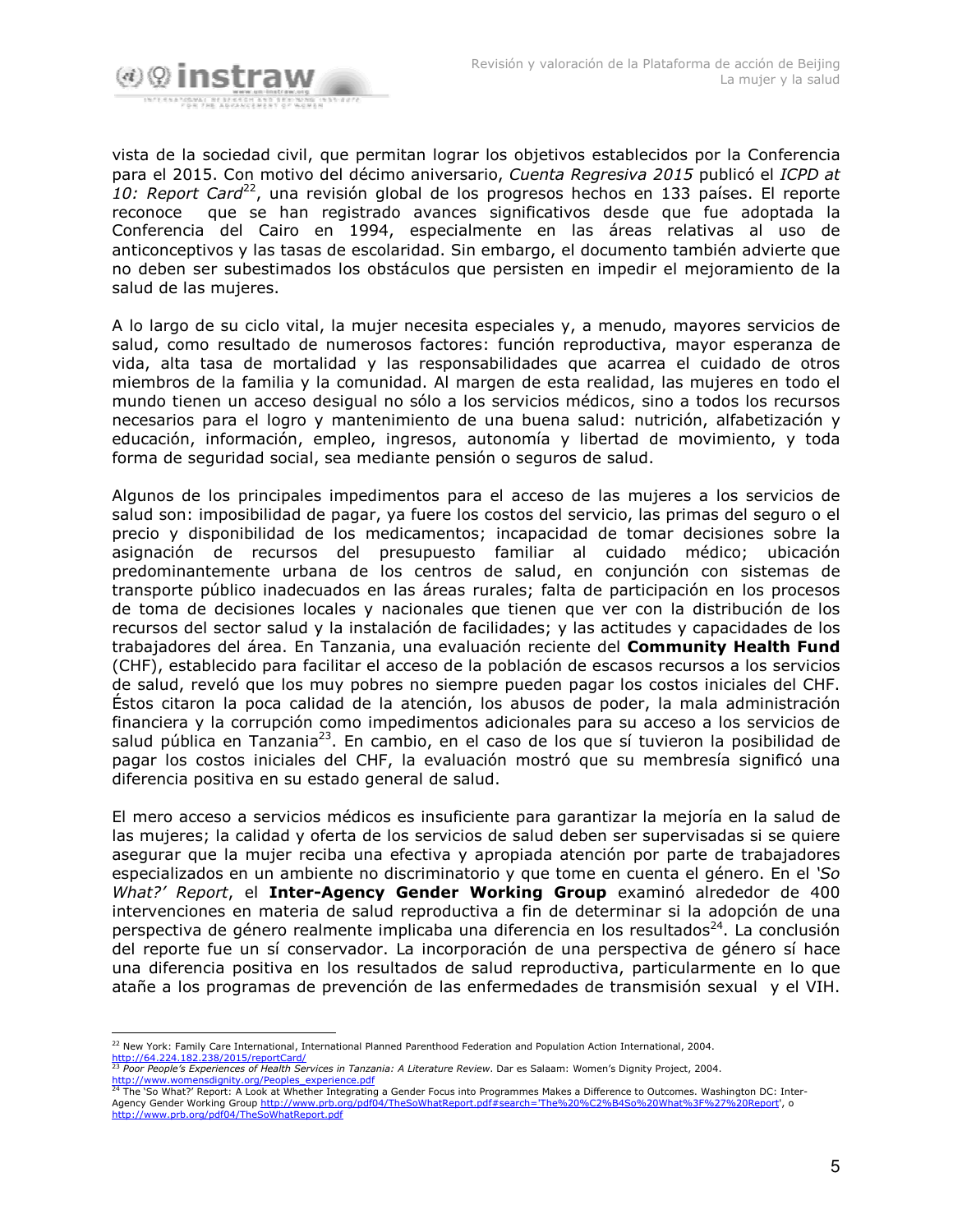

vista de la sociedad civil, que permitan lograr los objetivos establecidos por la Conferencia para el 2015. Con motivo del décimo aniversario, Cuenta Regresiva 2015 publicó el ICPD at 10: Report Card<sup>22</sup>, una revisión global de los progresos hechos en 133 países. El reporte que se han registrado avances significativos desde que fue adoptada la reconoce Conferencia del Cairo en 1994, especialmente en las áreas relativas al uso de anticonceptivos y las tasas de escolaridad. Sin embargo, el documento también advierte que no deben ser subestimados los obstáculos que persisten en impedir el mejoramiento de la salud de las mujeres.

A lo largo de su ciclo vital, la mujer necesita especiales y, a menudo, mayores servicios de salud, como resultado de numerosos factores: función reproductiva, mayor esperanza de vida, alta tasa de mortalidad y las responsabilidades que acarrea el cuidado de otros miembros de la familia y la comunidad. Al margen de esta realidad, las mujeres en todo el mundo tienen un acceso desigual no sólo a los servicios médicos, sino a todos los recursos necesarios para el logro y mantenimiento de una buena salud: nutrición, alfabetización y educación, información, empleo, ingresos, autonomía y libertad de movimiento, y toda forma de seguridad social, sea mediante pensión o seguros de salud.

Algunos de los principales impedimentos para el acceso de las mujeres a los servicios de salud son: imposibilidad de pagar, ya fuere los costos del servicio, las primas del seguro o el precio y disponibilidad de los medicamentos; incapacidad de tomar decisiones sobre la asignación de recursos del presupuesto familiar al cuidado médico; ubicación predominantemente urbana de los centros de salud, en conjunción con sistemas de transporte público inadecuados en las áreas rurales; falta de participación en los procesos de toma de decisiones locales y nacionales que tienen que ver con la distribución de los recursos del sector salud y la instalación de facilidades; y las actitudes y capacidades de los trabajadores del área. En Tanzania, una evaluación reciente del Community Health Fund (CHF), establecido para facilitar el acceso de la población de escasos recursos a los servicios de salud, reveló que los muy pobres no siempre pueden pagar los costos iniciales del CHF. Éstos citaron la poca calidad de la atención, los abusos de poder, la mala administración financiera y la corrupción como impedimentos adicionales para su acceso a los servicios de salud pública en Tanzania<sup>23</sup>. En cambio, en el caso de los que sí tuvieron la posibilidad de pagar los costos iniciales del CHF, la evaluación mostró que su membresía significó una diferencia positiva en su estado general de salud.

El mero acceso a servicios médicos es insuficiente para garantizar la mejoría en la salud de las mujeres; la calidad y oferta de los servicios de salud deben ser supervisadas si se quiere asegurar que la mujer reciba una efectiva y apropiada atención por parte de trabajadores especializados en un ambiente no discriminatorio y que tome en cuenta el género. En el 'So What?' Report, el Inter-Agency Gender Working Group examinó alrededor de 400 intervenciones en materia de salud reproductiva a fin de determinar si la adopción de una perspectiva de género realmente implicaba una diferencia en los resultados<sup>24</sup>. La conclusión del reporte fue un sí conservador. La incorporación de una perspectiva de género sí hace una diferencia positiva en los resultados de salud reproductiva, particularmente en lo que atañe a los programas de prevención de las enfermedades de transmisión sexual y el VIH.

<sup>&</sup>lt;sup>22</sup> New York: Family Care International, International Planned Parenthood Federation and Population Action International, 2004. http://64.224.182.238/2015/reportCard/<br><sup>23</sup> Poor People's Experiences of Health Services in Tanzania: A Literature Review. Dar es Salaam: Women's Dignity Project, 2004.

http://www.womensdignity.org/Peoples\_experience.pdf <sup>24</sup> The 'So What?' Report: A Look at Whether Integrating a Gender Focus into Programmes Makes a Difference to Outcomes. Washington DC: Inter-Agency Gender Working Group http://www.prb.org/pdf04/TheSoWhatReport.pdf#search='The%20%C2%B4So%20What%3F%27%20Report', o

http://www.prb.org/pdf04/TheSoWhatReport.pdf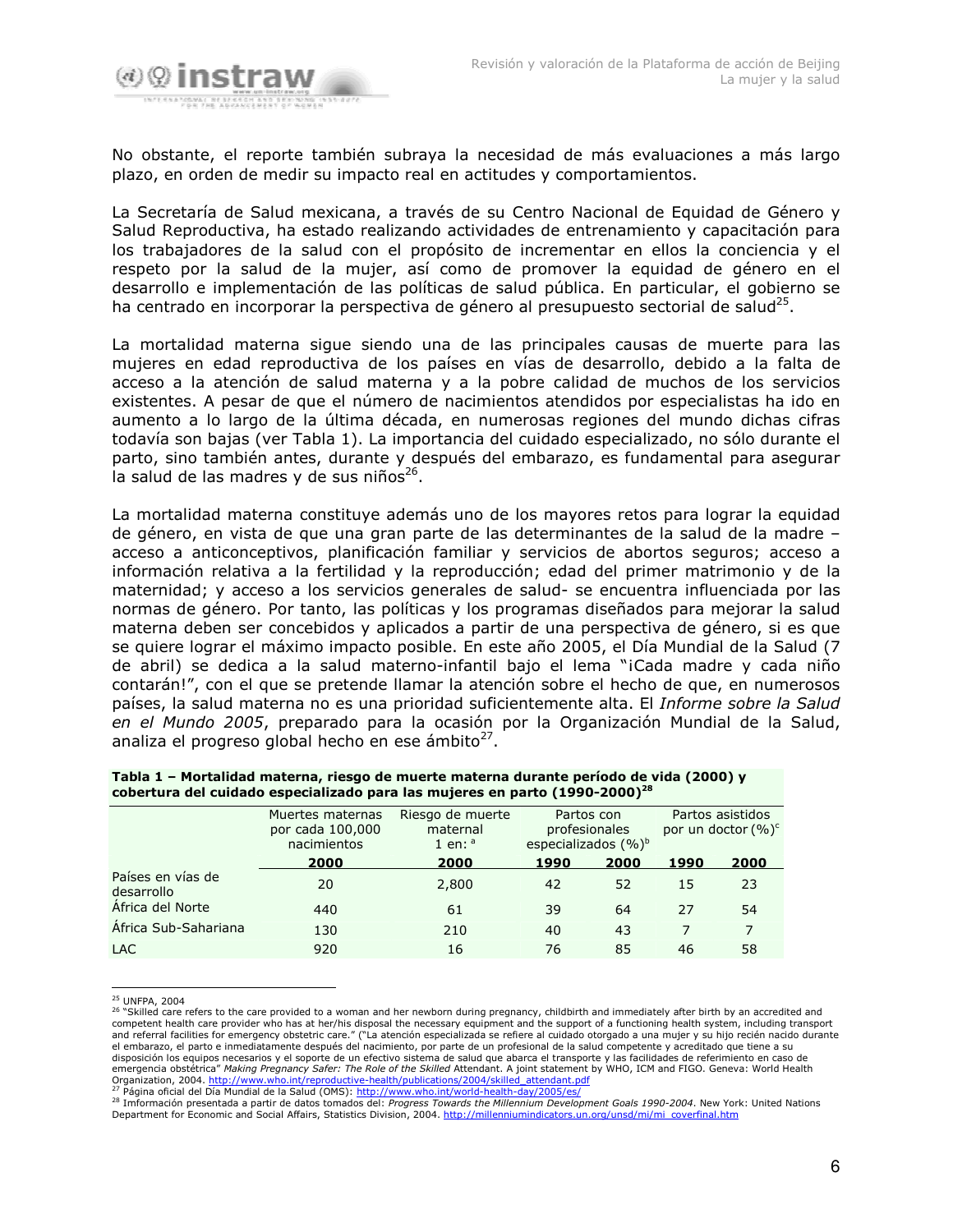

No obstante, el reporte también subraya la necesidad de más evaluaciones a más largo plazo, en orden de medir su impacto real en actitudes y comportamientos.

La Secretaría de Salud mexicana, a través de su Centro Nacional de Equidad de Género y Salud Reproductiva, ha estado realizando actividades de entrenamiento y capacitación para los trabajadores de la salud con el propósito de incrementar en ellos la conciencia y el respeto por la salud de la mujer, así como de promover la equidad de género en el desarrollo e implementación de las políticas de salud pública. En particular, el gobierno se ha centrado en incorporar la perspectiva de género al presupuesto sectorial de salud<sup>25</sup>.

La mortalidad materna sigue siendo una de las principales causas de muerte para las mujeres en edad reproductiva de los países en vías de desarrollo, debido a la falta de acceso a la atención de salud materna y a la pobre calidad de muchos de los servicios existentes. A pesar de que el número de nacimientos atendidos por especialistas ha ido en aumento a lo largo de la última década, en numerosas regiones del mundo dichas cifras todavía son bajas (ver Tabla 1). La importancia del cuidado especializado, no sólo durante el parto, sino también antes, durante y después del embarazo, es fundamental para asegurar la salud de las madres y de sus niños<sup>26</sup>.

La mortalidad materna constituye además uno de los mayores retos para lograr la equidad de género, en vista de que una gran parte de las determinantes de la salud de la madre acceso a anticonceptivos, planificación familiar y servicios de abortos seguros; acceso a información relativa a la fertilidad y la reproducción; edad del primer matrimonio y de la maternidad; y acceso a los servicios generales de salud- se encuentra influenciada por las normas de género. Por tanto, las políticas y los programas diseñados para mejorar la salud materna deben ser concebidos y aplicados a partir de una perspectiva de género, si es que se quiere lograr el máximo impacto posible. En este año 2005, el Día Mundial de la Salud (7 de abril) se dedica a la salud materno-infantil bajo el lema "iCada madre y cada niño contarán!", con el que se pretende llamar la atención sobre el hecho de que, en numerosos países, la salud materna no es una prioridad suficientemente alta. El Informe sobre la Salud en el Mundo 2005, preparado para la ocasión por la Organización Mundial de la Salud, analiza el progreso global hecho en ese ámbito<sup>27</sup>.

| copertura dei cuidado especializado para las illujeres en parto (1990-2000) |                                                     |                                           |                         |                             |      |                                           |
|-----------------------------------------------------------------------------|-----------------------------------------------------|-------------------------------------------|-------------------------|-----------------------------|------|-------------------------------------------|
|                                                                             | Muertes maternas<br>por cada 100,000<br>nacimientos | Riesgo de muerte<br>maternal<br>1 en: $a$ | especializados $(\%)^b$ | Partos con<br>profesionales |      | Partos asistidos<br>por un doctor $(%)^c$ |
|                                                                             | 2000                                                | 2000                                      | 1990                    | 2000                        | 1990 | 2000                                      |
| Países en vías de<br>desarrollo                                             | 20                                                  | 2,800                                     | 42                      | 52                          | 15   | 23                                        |
| Africa del Norte                                                            | 440                                                 | 61                                        | 39                      | 64                          | 27   | 54                                        |
| África Sub-Sahariana                                                        | 130                                                 | 210                                       | 40                      | 43                          | 7    |                                           |
| <b>LAC</b>                                                                  | 920                                                 | 16                                        | 76                      | 85                          | 46   | 58                                        |

| Tabla 1 – Mortalidad materna, riesgo de muerte materna durante período de vida (2000) y |  |  |
|-----------------------------------------------------------------------------------------|--|--|
| cobertura del cuidado especializado para las mujeres en parto (1990-2000) <sup>28</sup> |  |  |

<sup>25</sup> UNFPA, 2004

 $26$ <sup>26</sup> "Skilled care refers to the care provided to a woman and her newborn during pregnancy, childbirth and immediately after birth by an accredited and<br>competent health care provider who has at her/his disposal the necessa and referral facilities for emergency obstetric care." ("La atención especializada se refiere al cuidado otorgado a una mujer y su hijo recién nacido durante el embarazo, el parto e inmediatamente después del nacimiento, por parte de un profesional de la salud competente y acreditado que tiene a su disposición los equipos necesarios y el soporte de un efectivo sistema de salud que abarca el transporte y las facilidades de referimiento en caso de emergencia obstétrica" Making Pregnancy Safer: The Role of the Skilled A Organization, 2004. http://www.who.int/reproductive-health/publications/2004/skilled\_attendant.pdf

<sup>&</sup>lt;sup>27</sup> Página oficial del Día Mundial de la Salud (OMS): http://www.who.int/world-health-day/2005/es/

<sup>&</sup>lt;sup>28</sup> Imformación presentada a partir de datos tomados del: *Progress Towards the Millennium Development Goals 1990-2004*. New York: United Nations Department for Economic and Social Affairs, Statistics Division, 2004. http://millenniumindicators.un.org/unsd/mi/mi\_coverfinal.htm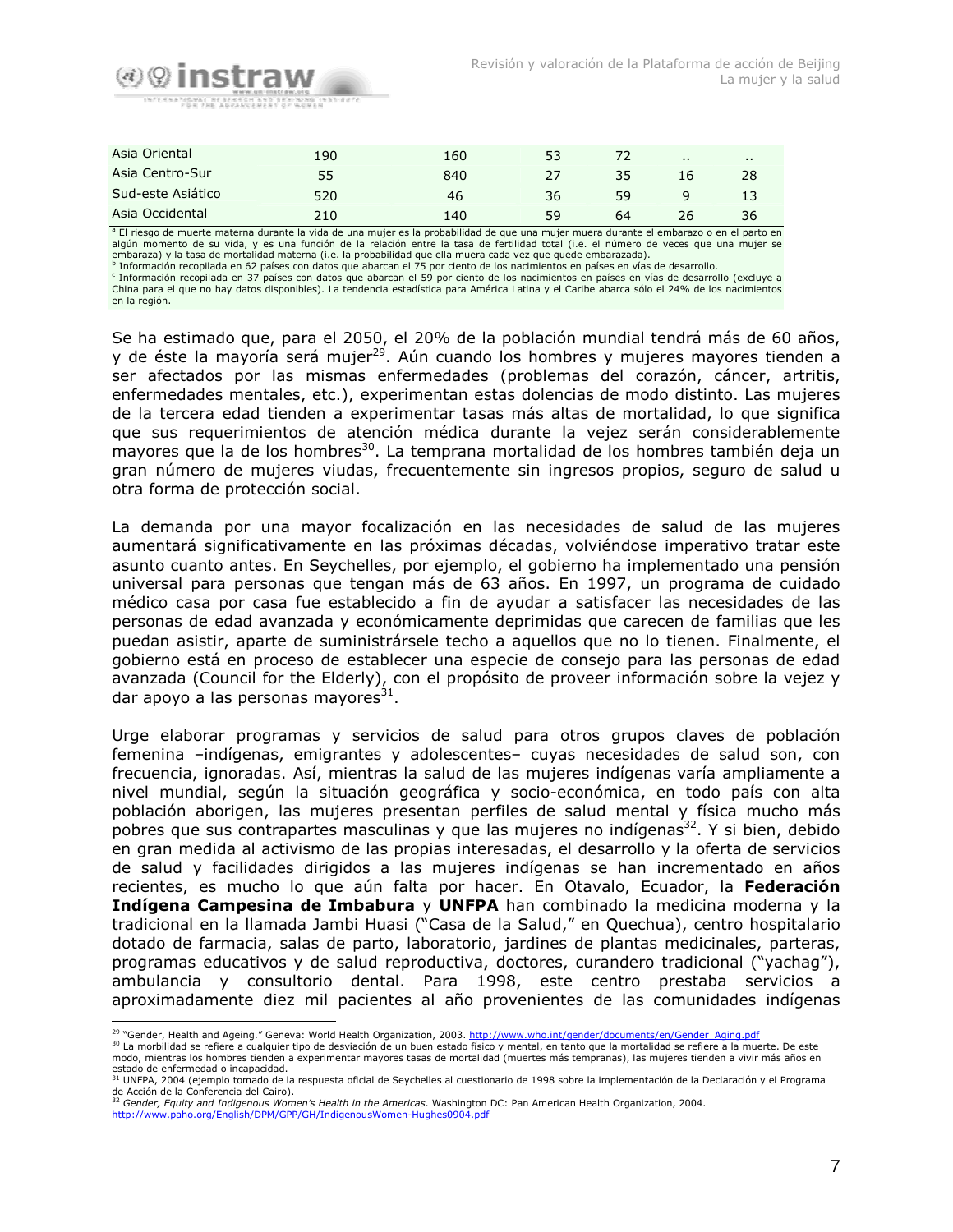

| Asia Oriental     | 190 | 160 | 53 |    | $\cdots$ | . . |  |
|-------------------|-----|-----|----|----|----------|-----|--|
| Asia Centro-Sur   | 55  | 840 | 27 | 35 | 16       | 28  |  |
| Sud-este Asiático | 520 | 46  | 36 | 59 |          |     |  |
| Asia Occidental   | 210 | 140 | 59 | 64 | 26       | 36  |  |

a El riesgo de muerte materna durante la vida de una mujer es la probabilidad de que una mujer muera durante el embarazo o en el parto en algún momento de su vida, y es una función de la relación entre la tasa de fertilidad total (i.e. el número de veces que una mujer se embaraza) y la tasa de mortalidad materna (i.e. la probabilidad que ella muera cada vez que quede embarazada).<br><sup>b</sup> Información recopilada en 62 países con datos que abarcan el 75 por ciento de los nacimientos en países en

<sup>c</sup> Información recopilada en 37 países con datos que abarcan el 59 por ciento de los nacimientos en países en vías de desarrollo (excluye a China para el que no hay datos disponibles). La tendencia estadística para América Latina y el Caribe abarca sólo el 24% de los nacimientos en la región.

Se ha estimado que, para el 2050, el 20% de la población mundial tendrá más de 60 años, y de éste la mayoría será mujer<sup>29</sup>. Aún cuando los hombres y mujeres mayores tienden a ser afectados por las mismas enfermedades (problemas del corazón, cáncer, artritis, enfermedades mentales, etc.), experimentan estas dolencias de modo distinto. Las mujeres de la tercera edad tienden a experimentar tasas más altas de mortalidad, lo que significa que sus requerimientos de atención médica durante la vejez serán considerablemente mayores que la de los hombres<sup>30</sup>. La temprana mortalidad de los hombres también deja un gran número de mujeres viudas, frecuentemente sin ingresos propios, seguro de salud u otra forma de protección social.

La demanda por una mayor focalización en las necesidades de salud de las mujeres aumentará significativamente en las próximas décadas, volviéndose imperativo tratar este asunto cuanto antes. En Seychelles, por ejemplo, el gobierno ha implementado una pensión universal para personas que tengan más de 63 años. En 1997, un programa de cuidado médico casa por casa fue establecido a fin de ayudar a satisfacer las necesidades de las personas de edad avanzada y económicamente deprimidas que carecen de familias que les puedan asistir, aparte de suministrársele techo a aquellos que no lo tienen. Finalmente, el gobierno está en proceso de establecer una especie de consejo para las personas de edad avanzada (Council for the Elderly), con el propósito de proveer información sobre la vejez y dar apoyo a las personas mayores $^{31}$ .

Urge elaborar programas y servicios de salud para otros grupos claves de población femenina -indígenas, emigrantes y adolescentes- cuyas necesidades de salud son, con frecuencia, ignoradas. Así, mientras la salud de las mujeres indígenas varía ampliamente a nivel mundial, según la situación geográfica y socio-económica, en todo país con alta población aborigen, las mujeres presentan perfiles de salud mental y física mucho más pobres que sus contrapartes masculinas y que las mujeres no indígenas<sup>32</sup>. Y si bien, debido en gran medida al activismo de las propias interesadas, el desarrollo y la oferta de servicios de salud y facilidades dirigidos a las mujeres indígenas se han incrementado en años recientes, es mucho lo que aún falta por hacer. En Otavalo, Ecuador, la Federación Indígena Campesina de Imbabura y UNFPA han combinado la medicina moderna y la tradicional en la llamada Jambi Huasi ("Casa de la Salud," en Quechua), centro hospitalario dotado de farmacia, salas de parto, laboratorio, jardines de plantas medicinales, parteras, programas educativos y de salud reproductiva, doctores, curandero tradicional ("yachag"), ambulancia y consultorio dental. Para 1998, este centro prestaba servicios a aproximadamente diez mil pacientes al año provenientes de las comunidades indígenas

<sup>&</sup>lt;sup>29</sup> "Gender, Health and Ageing." Geneva: World Health Organization, 2003. http://www.who.int/gender/documents/en/Gender\_Aging.pdf

<sup>30</sup> La morbilidad se refiere a cualquier tipo de desviación de un buen estado físico y mental, en tanto que la mortalidad se refiere a la muerte. De este modo, mientras los hombres tienden a experimentar mayores tasas de mortalidad (muertes más tempranas), las mujeres tienden a vivir más años en estado de enfermedad o incapacidad.

<sup>31</sup> UNFPA, 2004 (ejemplo tomado de la respuesta oficial de Seychelles al cuestionario de 1998 sobre la implementación de la Declaración y el Programa de Acción de la Conferencia del Cairo).<br><sup>32</sup> Gender, Equity and Indigenous Women's Health in the Americas. Washington DC: Pan American Health Organization, 2004.

http://www.paho.org/English/DPM/GPP/GH/IndigenousWomen-Hughes0904.pdf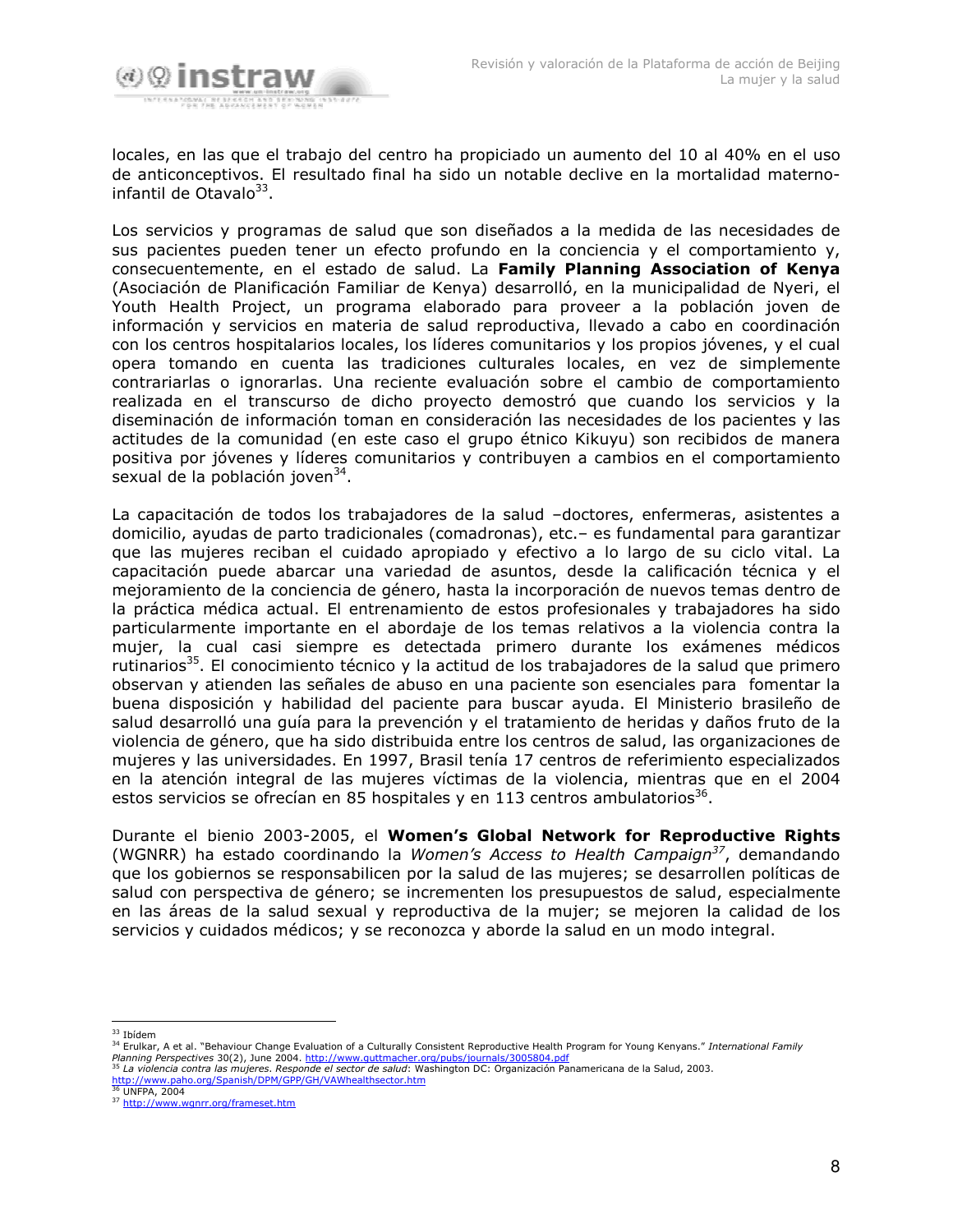

locales, en las que el trabajo del centro ha propiciado un aumento del 10 al 40% en el uso de anticonceptivos. El resultado final ha sido un notable declive en la mortalidad maternoinfantil de Otavalo<sup>33</sup>.

Los servicios y programas de salud que son diseñados a la medida de las necesidades de sus pacientes pueden tener un efecto profundo en la conciencia y el comportamiento y, consecuentemente, en el estado de salud. La Family Planning Association of Kenya (Asociación de Planificación Familiar de Kenya) desarrolló, en la municipalidad de Nyeri, el Youth Health Project, un programa elaborado para proveer a la población joven de información y servicios en materia de salud reproductiva, llevado a cabo en coordinación con los centros hospitalarios locales, los líderes comunitarios y los propios jóvenes, y el cual opera tomando en cuenta las tradiciones culturales locales, en vez de simplemente contrariarlas o ignorarlas. Una reciente evaluación sobre el cambio de comportamiento realizada en el transcurso de dicho proyecto demostró que cuando los servicios y la diseminación de información toman en consideración las necesidades de los pacientes y las actitudes de la comunidad (en este caso el grupo étnico Kikuvu) son recibidos de manera positiva por jóvenes y líderes comunitarios y contribuyen a cambios en el comportamiento sexual de la población joven<sup>34</sup>.

La capacitación de todos los trabajadores de la salud -doctores, enfermeras, asistentes a domicilio, ayudas de parto tradicionales (comadronas), etc.- es fundamental para garantizar que las mujeres reciban el cuidado apropiado y efectivo a lo largo de su ciclo vital. La capacitación puede abarcar una variedad de asuntos, desde la calificación técnica y el mejoramiento de la conciencia de género, hasta la incorporación de nuevos temas dentro de la práctica médica actual. El entrenamiento de estos profesionales y trabajadores ha sido particularmente importante en el abordaje de los temas relativos a la violencia contra la mujer, la cual casi siempre es detectada primero durante los exámenes médicos rutinarios<sup>35</sup>. El conocimiento técnico y la actitud de los trabajadores de la salud que primero observan y atienden las señales de abuso en una paciente son esenciales para fomentar la buena disposición y habilidad del paciente para buscar ayuda. El Ministerio brasileño de salud desarrolló una quía para la prevención y el tratamiento de heridas y daños fruto de la violencia de género, que ha sido distribuida entre los centros de salud, las organizaciones de mujeres y las universidades. En 1997, Brasil tenía 17 centros de referimiento especializados en la atención integral de las mujeres víctimas de la violencia, mientras que en el 2004 estos servicios se ofrecían en 85 hospitales y en 113 centros ambulatorios<sup>36</sup>.

Durante el bienio 2003-2005, el Women's Global Network for Reproductive Rights (WGNRR) ha estado coordinando la *Women's Access to Health Campaign<sup>37</sup>*, demandando que los gobiernos se responsabilicen por la salud de las mujeres; se desarrollen políticas de salud con perspectiva de género; se incrementen los presupuestos de salud, especialmente en las áreas de la salud sexual y reproductiva de la mujer; se mejoren la calidad de los servicios y cuidados médicos; y se reconozca y aborde la salud en un modo integral.

<sup>&</sup>lt;sup>33</sup> Ibídem

<sup>&</sup>lt;sup>34</sup> Erulkar, A et al. "Behaviour Change Evaluation of a Culturally Consistent Reproductive Health Program for Young Kenyans." International Family Planning Perspectives 30(2), June 2004. http://www.guttmacher.org/pubs/journals/3005804.pdf<br><sup>35</sup> La violencia contra las mujeres. Responde el sector de salud: Washington DC: Organización Panamericana de la Salud, 2003.

http://www.paho.org/Spanish/DPM/GPP/GH/VAWhealthsector.htm

<sup>&</sup>lt;sup>36</sup> UNFPA, 2004

<sup>&</sup>lt;sup>37</sup> http://www.wgnrr.org/frameset.htm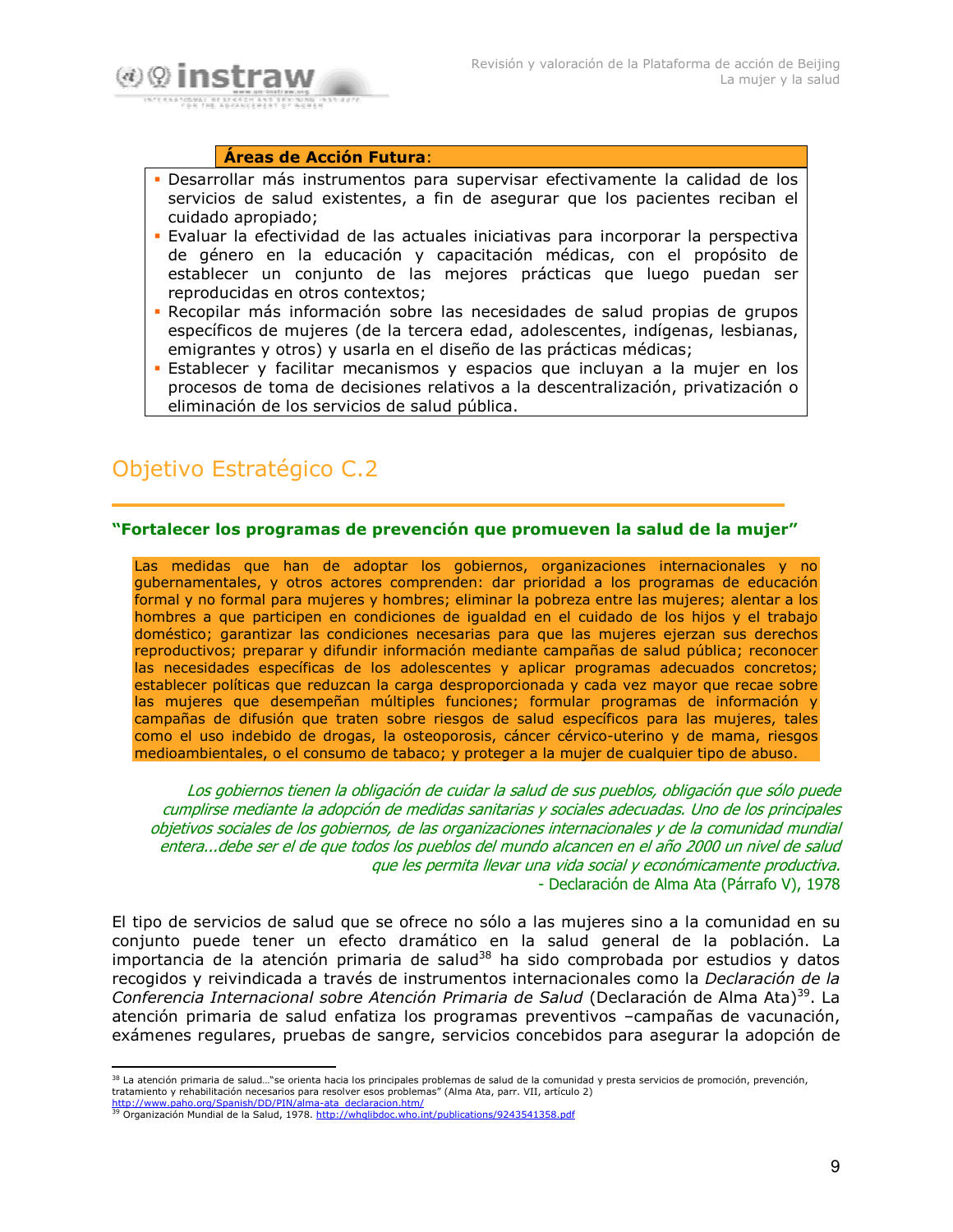

#### Áreas de Acción Futura:

- Desarrollar más instrumentos para supervisar efectivamente la calidad de los servicios de salud existentes, a fin de asegurar que los pacientes reciban el cuidado apropiado:
- Evaluar la efectividad de las actuales iniciativas para incorporar la perspectiva de género en la educación y capacitación médicas, con el propósito de establecer un conjunto de las mejores prácticas que luego puedan ser reproducidas en otros contextos;
- Recopilar más información sobre las necesidades de salud propias de grupos específicos de mujeres (de la tercera edad, adolescentes, indígenas, lesbianas, emigrantes y otros) y usarla en el diseño de las prácticas médicas;
- Establecer y facilitar mecanismos y espacios que incluyan a la mujer en los procesos de toma de decisiones relativos a la descentralización, privatización o eliminación de los servicios de salud pública.

## Objetivo Estratégico C.2

#### "Fortalecer los programas de prevención que promueven la salud de la mujer"

Las medidas que han de adoptar los gobiernos, organizaciones internacionales y no gubernamentales, y otros actores comprenden: dar prioridad a los programas de educación formal y no formal para mujeres y hombres; eliminar la pobreza entre las mujeres; alentar a los hombres a que participen en condiciones de igualdad en el cuidado de los hijos y el trabajo doméstico; garantizar las condiciones necesarias para que las mujeres ejerzan sus derechos reproductivos; preparar y difundir información mediante campañas de salud pública; reconocer las necesidades específicas de los adolescentes y aplicar programas adecuados concretos; establecer políticas que reduzcan la carga desproporcionada y cada vez mayor que recae sobre las mujeres que desempeñan múltiples funciones; formular programas de información y campañas de difusión que traten sobre riesgos de salud específicos para las mujeres, tales como el uso indebido de drogas, la osteoporosis, cáncer cérvico-uterino y de mama, riesgos medioambientales, o el consumo de tabaco; y proteger a la mujer de cualquier tipo de abuso.

Los gobiernos tienen la obligación de cuidar la salud de sus pueblos, obligación que sólo puede cumplirse mediante la adopción de medidas sanitarias y sociales adecuadas. Uno de los principales objetivos sociales de los gobiernos, de las organizaciones internacionales y de la comunidad mundial entera...debe ser el de que todos los pueblos del mundo alcancen en el año 2000 un nivel de salud que les permita llevar una vida social y económicamente productiva. - Declaración de Alma Ata (Párrafo V), 1978

El tipo de servicios de salud que se ofrece no sólo a las mujeres sino a la comunidad en su conjunto puede tener un efecto dramático en la salud general de la población. La importancia de la atención primaria de salud<sup>38</sup> ha sido comprobada por estudios y datos recogidos y reivindicada a través de instrumentos internacionales como la Declaración de la Conferencia Internacional sobre Atención Primaria de Salud (Declaración de Alma Ata)<sup>39</sup>. La atención primaria de salud enfatiza los programas preventivos -campañas de vacunación, exámenes regulares, pruebas de sangre, servicios concebidos para asegurar la adopción de

<sup>&</sup>lt;sup>38</sup> La atención primaria de salud..."se orienta hacia los principales problemas de salud de la comunidad y presta servicios de promoción, prevención, tratamiento y rehabilitación necesarios para resolver esos problemas" (Alma Ata, parr. VII, artículo 2)

http://www.paho.org/Spanish/DD/PIN/alma-ata\_declaracion.htm/<br><sup>39</sup> Organización Mundial de la Salud, 1978. http://whqlibdoc.who.int/publications/9243541358.pdf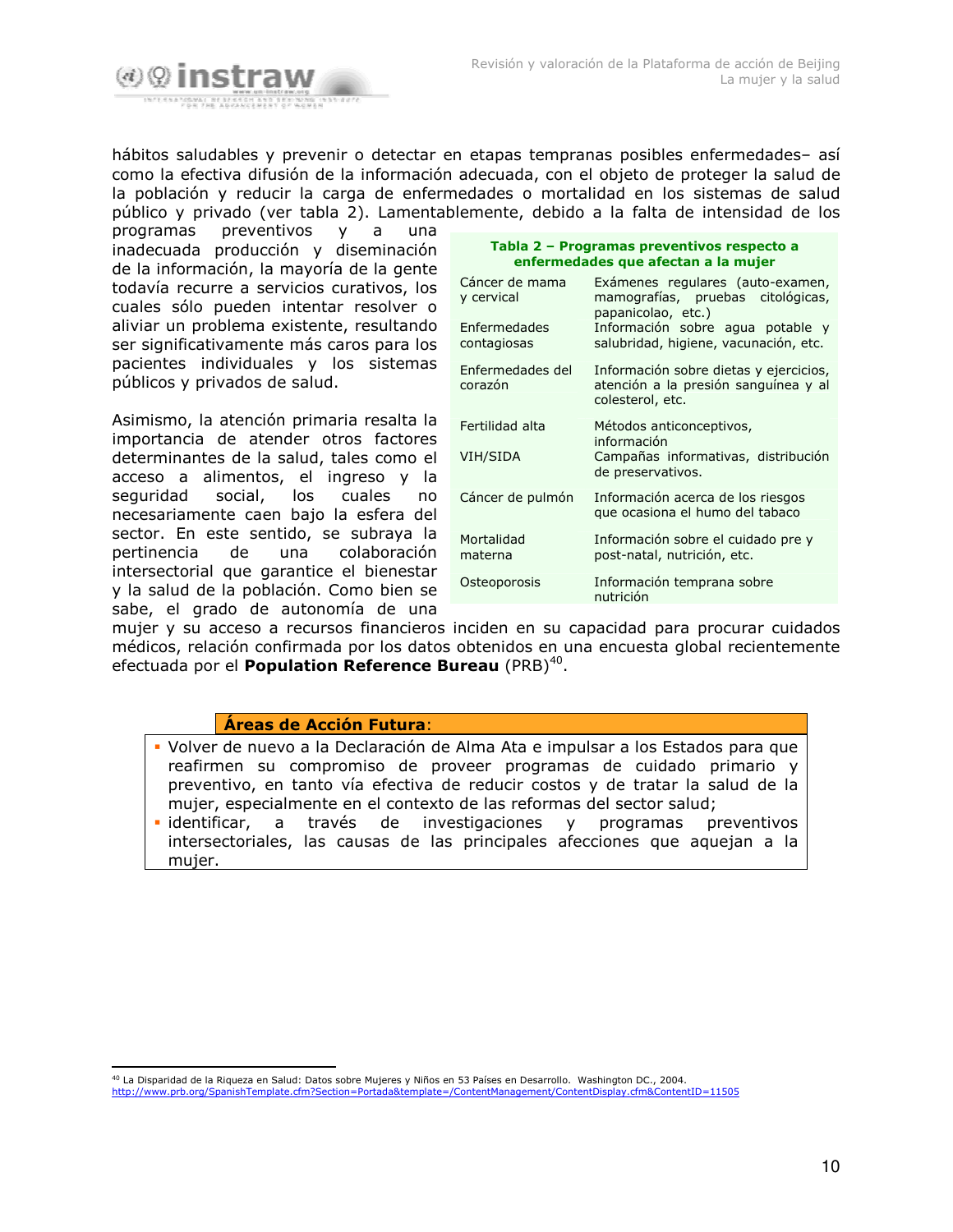

hábitos saludables y prevenir o detectar en etapas tempranas posibles enfermedades- así como la efectiva difusión de la información adecuada, con el objeto de proteger la salud de la población y reducir la carga de enfermedades o mortalidad en los sistemas de salud público y privado (ver tabla 2). Lamentablemente, debido a la falta de intensidad de los

preventivos programas  $\mathsf{y}$  $\mathsf{a}$ una inadecuada producción y diseminación de la información, la mayoría de la gente todavía recurre a servicios curativos, los cuales sólo pueden intentar resolver o aliviar un problema existente, resultando ser significativamente más caros para los pacientes individuales y los sistemas públicos y privados de salud.

Asimismo, la atención primaria resalta la importancia de atender otros factores determinantes de la salud, tales como el acceso a alimentos, el ingreso y la seguridad social, los cuales no necesariamente caen bajo la esfera del sector. En este sentido, se subrava la pertinencia de una colaboración intersectorial que garantice el bienestar y la salud de la población. Como bien se sabe, el grado de autonomía de una

| Tabla 2 - Programas preventivos respecto a |  |
|--------------------------------------------|--|
| enfermedades que afectan a la mujer        |  |

| Cáncer de mama<br>y cervical<br>Enfermedades<br>contagiosas | Exámenes regulares (auto-examen,<br>mamografías, pruebas citológicas,<br>papanicolao, etc.)<br>Información sobre agua potable y<br>salubridad, higiene, vacunación, etc. |
|-------------------------------------------------------------|--------------------------------------------------------------------------------------------------------------------------------------------------------------------------|
| Enfermedades del<br>corazón                                 | Información sobre dietas y ejercicios,<br>atención a la presión sanguínea y al<br>colesterol, etc.                                                                       |
| Fertilidad alta<br>VIH/SIDA                                 | Métodos anticonceptivos,<br>información<br>Campañas informativas, distribución<br>de preservativos.                                                                      |
| Cáncer de pulmón                                            | Información acerca de los riesgos<br>que ocasiona el humo del tabaco                                                                                                     |
| Mortalidad<br>materna                                       | Información sobre el cuidado pre y<br>post-natal, nutrición, etc.                                                                                                        |
| Osteoporosis                                                | Información temprana sobre<br>nutrición                                                                                                                                  |

mujer y su acceso a recursos financieros inciden en su capacidad para procurar cuidados médicos, relación confirmada por los datos obtenidos en una encuesta global recientemente efectuada por el Population Reference Bureau (PRB)<sup>40</sup>.

#### Áreas de Acción Futura:

• Volver de nuevo a la Declaración de Alma Ata e impulsar a los Estados para que reafirmen su compromiso de proveer programas de cuidado primario y preventivo, en tanto vía efectiva de reducir costos y de tratar la salud de la mujer, especialmente en el contexto de las reformas del sector salud;

· identificar, a través de investigaciones y programas preventivos intersectoriales, las causas de las principales afecciones que aquejan a la mujer.

<sup>&</sup>lt;sup>40</sup> La Disparidad de la Riqueza en Salud: Datos sobre Mujeres y Niños en 53 Países en Desarrollo. Washington DC., 2004. ContentID=11505 http://www.prb.org/SpanishTemplate.cfm?Section=Portada&template=/ContentManagement/ContentDisplay.cfm&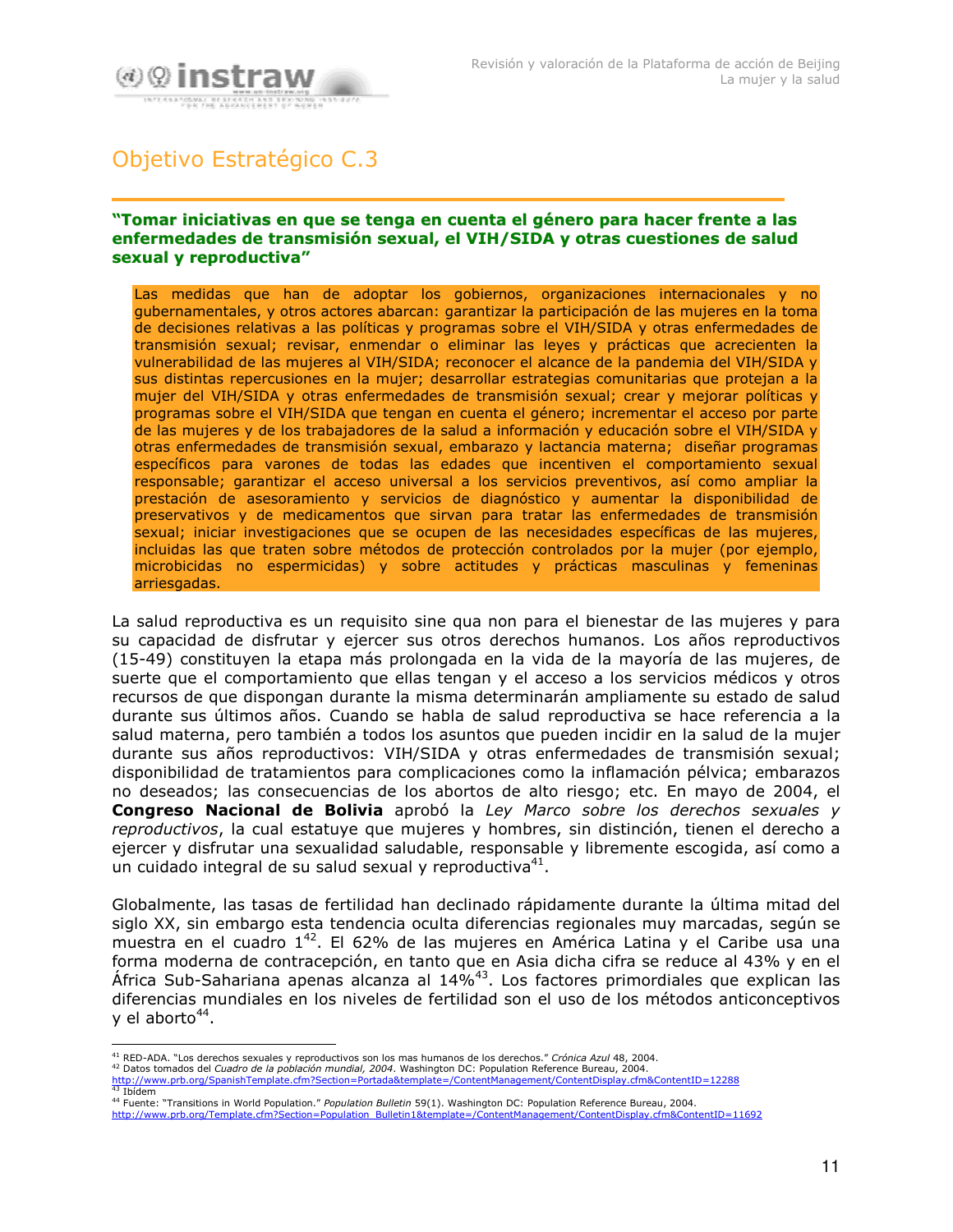

## Objetivo Estratégico C.3

#### "Tomar iniciativas en que se tenga en cuenta el género para hacer frente a las enfermedades de transmisión sexual, el VIH/SIDA y otras cuestiones de salud sexual y reproductiva"

Las medidas que han de adoptar los gobiernos, organizaciones internacionales y no gubernamentales, y otros actores abarcan: garantizar la participación de las mujeres en la toma de decisiones relativas a las políticas y programas sobre el VIH/SIDA y otras enfermedades de transmisión sexual; revisar, enmendar o eliminar las leyes y prácticas que acrecienten la vulnerabilidad de las mujeres al VIH/SIDA; reconocer el alcance de la pandemia del VIH/SIDA y sus distintas repercusiones en la mujer; desarrollar estrategias comunitarias que protejan a la mujer del VIH/SIDA y otras enfermedades de transmisión sexual; crear y mejorar políticas y programas sobre el VIH/SIDA que tengan en cuenta el género; incrementar el acceso por parte de las mujeres y de los trabajadores de la salud a información y educación sobre el VIH/SIDA y otras enfermedades de transmisión sexual, embarazo y lactancia materna: diseñar programas específicos para varones de todas las edades que incentiven el comportamiento sexual responsable; garantizar el acceso universal a los servicios preventivos, así como ampliar la prestación de asesoramiento y servicios de diagnóstico y aumentar la disponibilidad de preservativos y de medicamentos que sirvan para tratar las enfermedades de transmisión sexual; iniciar investigaciones que se ocupen de las necesidades específicas de las mujeres, incluidas las que traten sobre métodos de protección controlados por la mujer (por ejemplo, microbicidas no espermicidas) y sobre actitudes y prácticas masculinas y femeninas arriesgadas.

La salud reproductiva es un requisito sine qua non para el bienestar de las mujeres y para su capacidad de disfrutar y ejercer sus otros derechos humanos. Los años reproductivos (15-49) constituyen la etapa más prolongada en la vida de la mayoría de las mujeres, de suerte que el comportamiento que ellas tengan y el acceso a los servicios médicos y otros recursos de que dispongan durante la misma determinarán ampliamente su estado de salud durante sus últimos años. Cuando se habla de salud reproductiva se hace referencia a la salud materna, pero también a todos los asuntos que pueden incidir en la salud de la mujer durante sus años reproductivos: VIH/SIDA y otras enfermedades de transmisión sexual; disponibilidad de tratamientos para complicaciones como la inflamación pélvica; embarazos no deseados; las consecuencias de los abortos de alto riesgo; etc. En mayo de 2004, el Congreso Nacional de Bolivia aprobó la Ley Marco sobre los derechos sexuales y reproductivos, la cual estatuye que mujeres y hombres, sin distinción, tienen el derecho a ejercer y disfrutar una sexualidad saludable, responsable y libremente escogida, así como a un cuidado integral de su salud sexual y reproductiva<sup>41</sup>.

Globalmente, las tasas de fertilidad han declinado rápidamente durante la última mitad del siglo XX, sin embargo esta tendencia oculta diferencias regionales muy marcadas, según se muestra en el cuadro 1<sup>42</sup>. El 62% de las mujeres en América Latina y el Caribe usa una forma moderna de contracepción, en tanto que en Asia dicha cifra se reduce al 43% y en el África Sub-Sahariana apenas alcanza al 14%<sup>43</sup>. Los factores primordiales que explican las diferencias mundiales en los niveles de fertilidad son el uso de los métodos anticonceptivos y el aborto<sup>44</sup>.

<sup>&</sup>lt;sup>41</sup> RED-ADA. "Los derechos sexuales y reproductivos son los mas humanos de los derechos." Crónica Azul 48, 2004.<br><sup>42</sup> Datos tomados del Cuadro de la población mundial, 2004. Washington DC: Population Reference Bureau, 20

http://www.prb.org/SpanishTemplate.cfm?Section=Portada&template=/ContentManagement/ContentDisplay.cfm&ContentID=12288  $43$  Thídem

<sup>44</sup> Fuente: "Transitions in World Population." Population Bulletin 59(1). Washington DC: Population Reference Bureau, 2004. http://www.prb.org/Template.cfm?Section=Population\_Bulletin1&template=/ContentManagement/ContentDisplay.cfm&ContentID=11692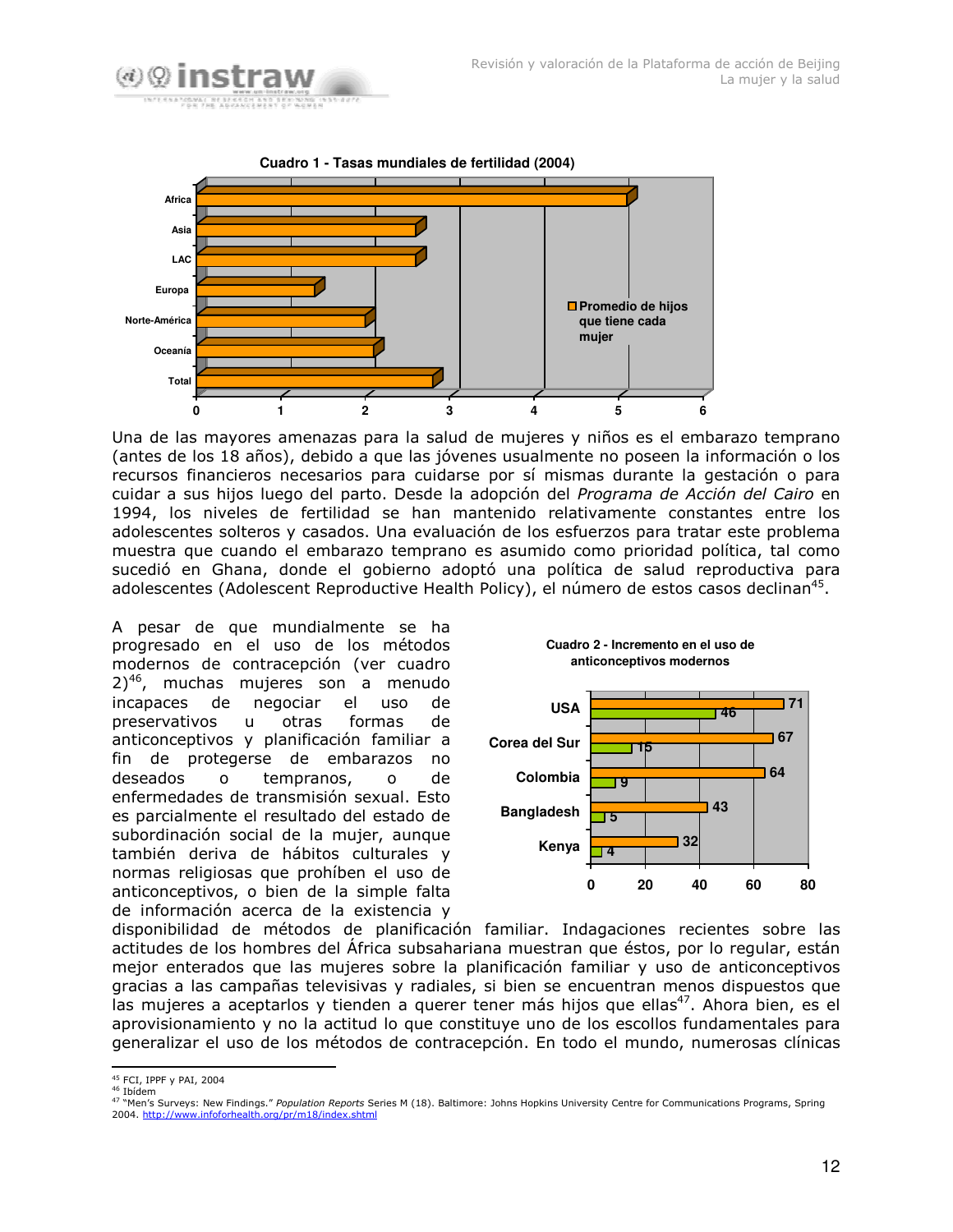



Una de las mayores amenazas para la salud de mujeres y niños es el embarazo temprano (antes de los 18 años), debido a que las jóvenes usualmente no poseen la información o los recursos financieros necesarios para cuidarse por sí mismas durante la gestación o para cuidar a sus hijos luego del parto. Desde la adopción del *Programa de Acción del Cairo* en 1994, los niveles de fertilidad se han mantenido relativamente constantes entre los adolescentes solteros y casados. Una evaluación de los esfuerzos para tratar este problema muestra que cuando el embarazo temprano es asumido como prioridad política, tal como sucedió en Ghana, donde el gobierno adoptó una política de salud reproductiva para adolescentes (Adolescent Reproductive Health Policy), el número de estos casos declinan<sup>45</sup>.

A pesar de que mundialmente se ha progresado en el uso de los métodos modernos de contracepción (ver cuadro  $2)^{46}$ , muchas mujeres son a menudo incapaces de negocia r el uso de preservativos u otra otras formas de anticonceptivos y planificación familiar a fin de protegerse de embarazos no deseados o te mpranos, o de de enfermedades de transmisión sexual. Esto es parcialmente el resultado del estado de subordinación social de la mujer, aunque también deriva de hábitos culturales y normas religiosas que prohíben el uso de anticonceptivos, o bien de la simple falta de información acerca de la existencia y





disponibilidad de métodos de planificación familiar. Indagaciones recientes sobre las actitudes de los hombres del Africa subsahariana muestran que éstos, por lo regular, están mejor enterados que las mujeres sobre la planificación familiar y uso de anticonceptivos gracias a las campañas televisivas y radiales, si bien se encuentran menos dispuestos que las mujeres a aceptarlos y tienden a querer tener más hijos que ellas<sup>47</sup>. Ahora bien, es el aprovisionamiento y no la actitud lo que constituye uno de los escollos fundamentales para generalizar el uso de los métodos de contracepción. En todo el mundo, numerosas clínicas

<sup>&</sup>lt;sup>45</sup> FCI, IPPF y PAI, 2004

<sup>&</sup>lt;sup>46</sup> Ibídem<br><sup>47</sup> "Men's Surveys: New Findings.*" Population Reports* Series M (18). Baltimore: Johns Hopkins University Centre for Communications Programs, Spring 2004. http://www.infoforhealth.org/pr/m18/index.shtml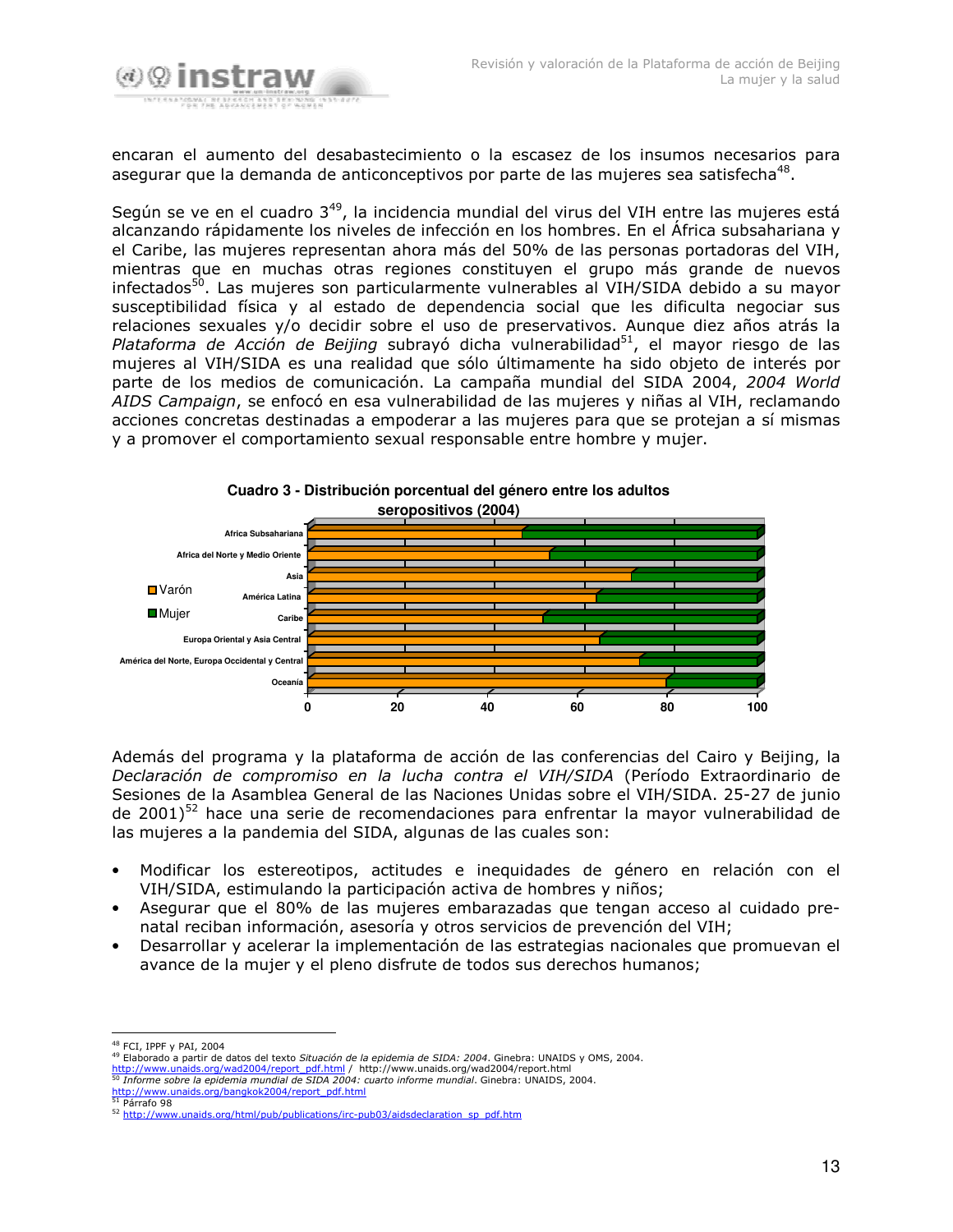

encaran el aumento del desabastecimiento o la escasez de los insumos necesarios para asegurar que la demanda de anticonceptivos por parte de las mujeres sea satisfecha<sup>48</sup>.

Según se ve en el cuadro 3<sup>49</sup>, la incidencia mundial del virus del VIH entre las mujeres está alcanzando rápidamente los niveles de infección en los hombres. En el Africa subsahariana y el Caribe, las mujeres representan ahora más del 50% de las personas portadoras del VIH, mientras que en muchas otras regiones constituyen el grupo más grande de nuevos infectados<sup>50</sup>. Las mujeres son particularmente vulnerables al VIH/SIDA debido a su mayor susceptibilidad física y al estado de dependencia social que les dificulta negociar sus relaciones sexuales y/o decidir sobre el uso de preservativos. Aunque diez años atrás la Plataforma de Acción de Beijing subrayó dicha vulnerabilidad<sup>51</sup>, el mayor riesgo de las mujeres al VIH/SIDA es una realidad que sólo últimamente ha sido objeto de interés por parte de los medios de comunicación. La campaña mundial del SIDA 2004, 2004 World *AIDS Campaign*, se enfocó en esa vulnerabilidad de las mujeres y niñas al VIH, reclamando acciones concretas destinadas a empoderar a las mujeres para que se protejan a sí mismas y a promover el comportamiento sexual responsable entre hombre y mujer.



Además del programa y la plataforma de acción de las conferencias del Cairo y Beijing, la *Declaración de compromiso en la lucha contra el VIH/SIDA* (Período Extraordinario de Sesiones de la Asamblea General de las Naciones Unidas sobre el VIH/SIDA. 25-27 de junio de 2001)<sup>52</sup> hace una serie de recomendaciones para enfrentar la mayor vulnerabilidad de las mujeres a la pandemia del SIDA, algunas de las cuales son:

- Modificar los estereotipos, actitudes e inequidades de género en relación con el VIH/SIDA, estimulando la participación activa de hombres y niños;
- Asegurar que el 80% de las mujeres embarazadas que tengan acceso al cuidado prenatal reciban información, asesoría y otros servicios de prevención del VIH;
- Desarrollar y acelerar la implementación de las estrategias nacionales que promuevan el avance de la mujer y el pleno disfrute de todos sus derechos humanos;

 $^{50}$  Informe sobre la epidemia mundial de SIDA 2004: cuarto informe mundial. Ginebra: UNAIDS, 2004. ids.org/bangkok2004/report\_pdf.html

<u>http://www.una</u><br><sup>51</sup> Párrafo 98

<sup>&</sup>lt;sup>48</sup> FCI, IPPF v PAI, 2004

<sup>&</sup>lt;sup>49</sup> Elaborado a partir de datos del texto *Situación de la epidemia de SIDA: 2004*. Ginebra: UNAIDS y OMS, 2004.<br><u>http://www.unaids.org/wad2004/report\_pdf.html</u> / http://www.unaids.org/wad2004/report.html

<sup>52</sup> http://www.unaids.org/html/pub/publications/irc-pub03/aidsdeclaration\_sp\_pdf.htm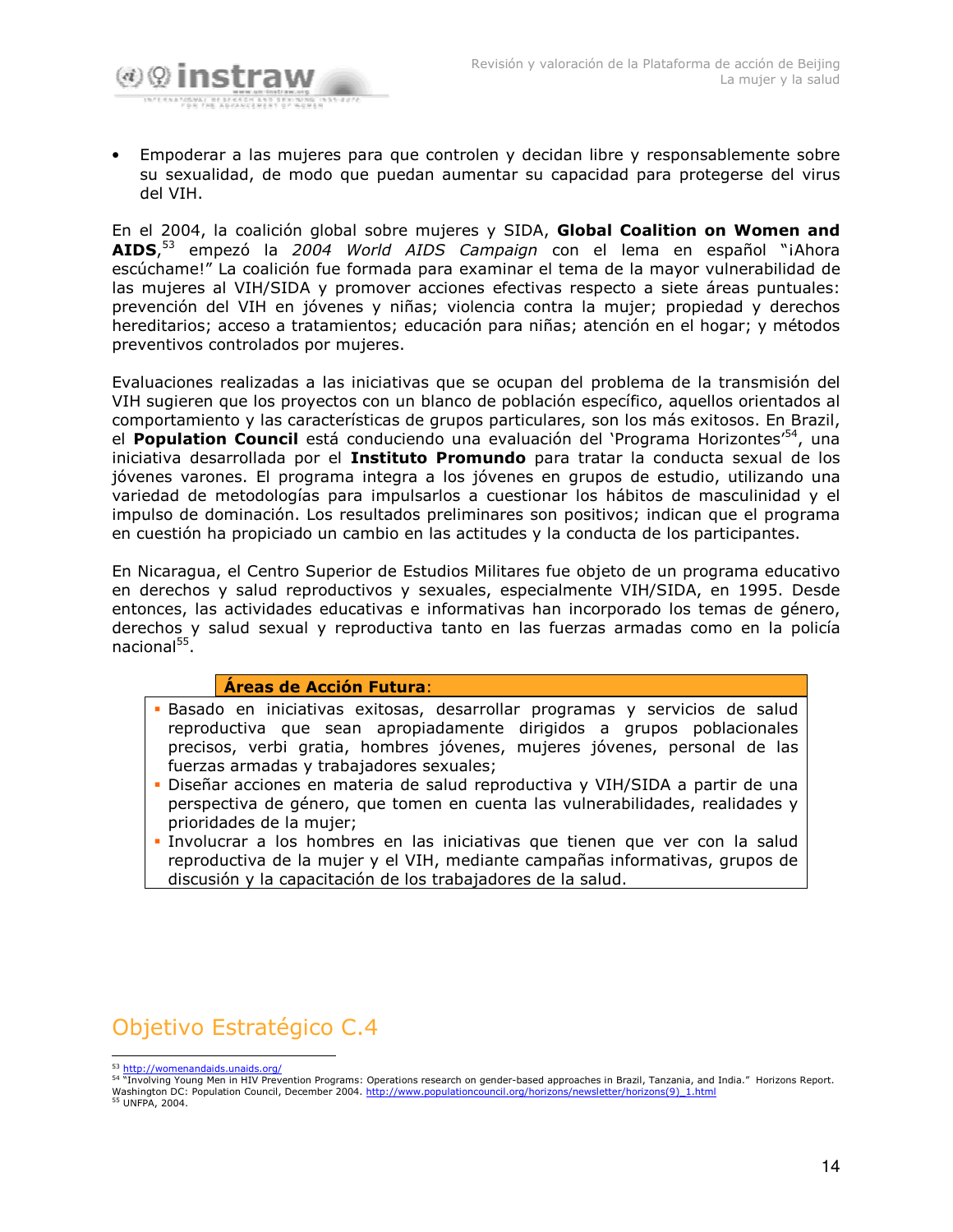

Empoderar a las mujeres para que controlen y decidan libre y responsablemente sobre su sexualidad, de modo que puedan aumentar su capacidad para protegerse del virus del VIH.

En el 2004, la coalición global sobre mujeres y SIDA, Global Coalition on Women and AIDS,<sup>53</sup> empezó la 2004 World AIDS Campaign con el lema en español "iAhora escúchame!" La coalición fue formada para examinar el tema de la mayor vulnerabilidad de las mujeres al VIH/SIDA y promover acciones efectivas respecto a siete áreas puntuales: prevención del VIH en jóvenes y niñas; violencia contra la mujer; propiedad y derechos hereditarios; acceso a tratamientos; educación para niñas; atención en el hogar; y métodos preventivos controlados por mujeres.

Evaluaciones realizadas a las iniciativas que se ocupan del problema de la transmisión del VIH sugieren que los proyectos con un blanco de población específico, aquellos orientados al comportamiento y las características de grupos particulares, son los más exitosos. En Brazil, el **Population Council** está conduciendo una evaluación del 'Programa Horizontes'<sup>54</sup>, una iniciativa desarrollada por el Instituto Promundo para tratar la conducta sexual de los jóvenes varones. El programa integra a los jóvenes en grupos de estudio, utilizando una variedad de metodologías para impulsarlos a cuestionar los hábitos de masculinidad y el impulso de dominación. Los resultados preliminares son positivos; indican que el programa en cuestión ha propiciado un cambio en las actitudes y la conducta de los participantes.

En Nicaragua, el Centro Superior de Estudios Militares fue objeto de un programa educativo en derechos y salud reproductivos y sexuales, especialmente VIH/SIDA, en 1995. Desde entonces, las actividades educativas e informativas han incorporado los temas de género, derechos y salud sexual y reproductiva tanto en las fuerzas armadas como en la policía  $nacional<sup>55</sup>$ .

## Áreas de Acción Futura:

- · Basado en iniciativas exitosas, desarrollar programas y servicios de salud reproductiva que sean apropiadamente dirigidos a grupos poblacionales precisos, verbi gratia, hombres jóvenes, mujeres jóvenes, personal de las fuerzas armadas y trabajadores sexuales;
- Diseñar acciones en materia de salud reproductiva y VIH/SIDA a partir de una perspectiva de género, que tomen en cuenta las vulnerabilidades, realidades y prioridades de la mujer;
- · Involucrar a los hombres en las iniciativas que tienen que ver con la salud reproductiva de la mujer y el VIH, mediante campañas informativas, grupos de discusión y la capacitación de los trabajadores de la salud.

Objetivo Estratégico C.4

54 "Involving Young Men in HIV Prevention Programs: Operations research on gender-based approaches in Brazil, Tanzania, and India." Horizons Report. Washington DC: Population Council, December 2004. http://www.populationcouncil.org/horizons/newsletter/horizons(9) 1.html<br>55 UNFPA, 2004.

<sup>&</sup>lt;sup>53</sup> http://womenandaids.unaids.org/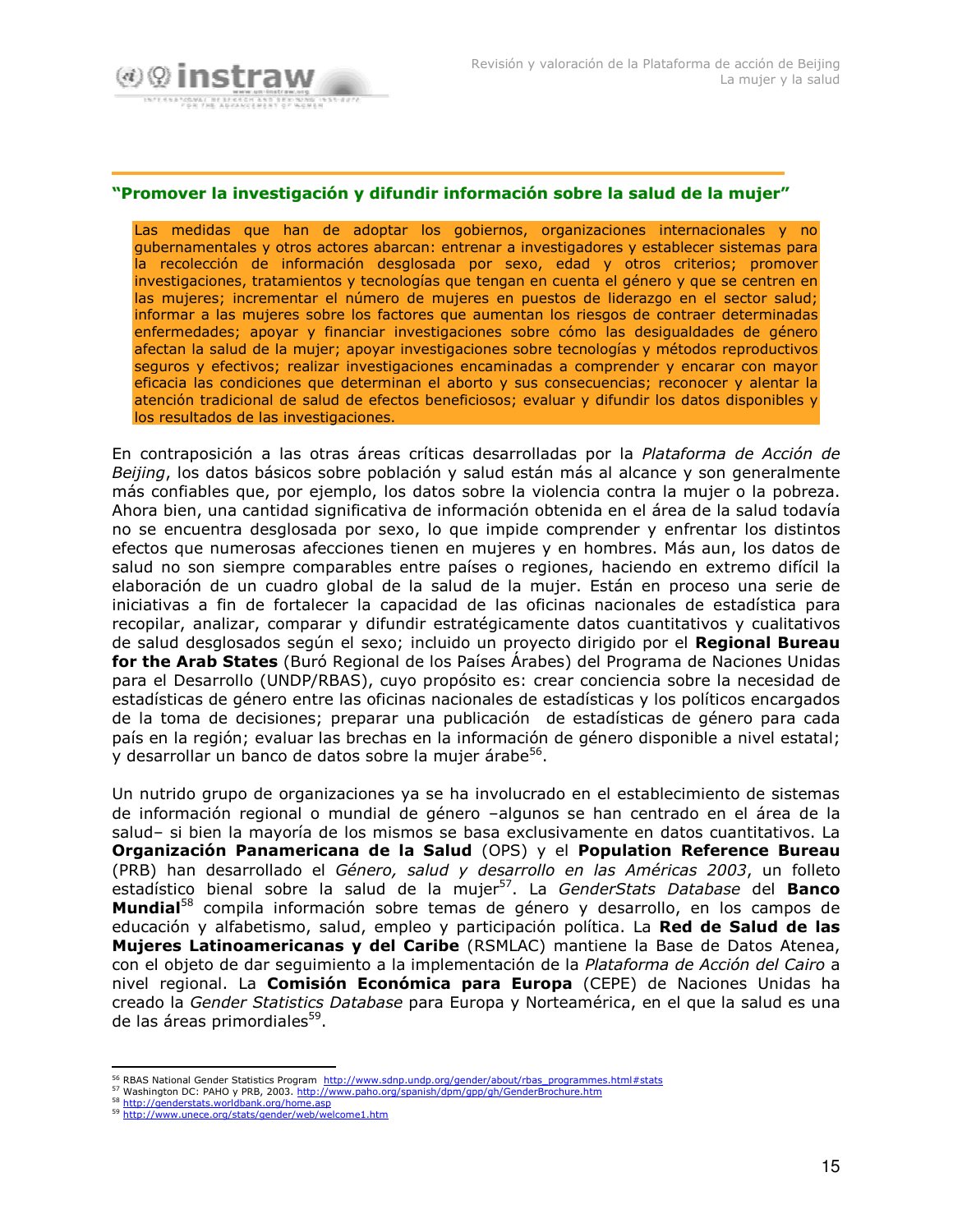

#### "Promover la investigación y difundir información sobre la salud de la mujer"

Las medidas que han de adoptar los gobiernos, organizaciones internacionales y no qubernamentales y otros actores abarcan: entrenar a investigadores y establecer sistemas para la recolección de información desglosada por sexo, edad y otros criterios; promover investigaciones, tratamientos y tecnologías que tengan en cuenta el género y que se centren en las mujeres; incrementar el número de mujeres en puestos de liderazgo en el sector salud; informar a las mujeres sobre los factores que aumentan los riesgos de contraer determinadas enfermedades; apoyar y financiar investigaciones sobre cómo las desigualdades de género afectan la salud de la mujer; apoyar investigaciones sobre tecnologías y métodos reproductivos seguros y efectivos; realizar investigaciones encaminadas a comprender y encarar con mayor eficacia las condiciones que determinan el aborto y sus consecuencias; reconocer y alentar la atención tradicional de salud de efectos beneficiosos; evaluar y difundir los datos disponibles y los resultados de las investigaciones.

En contraposición a las otras áreas críticas desarrolladas por la Plataforma de Acción de Beijing, los datos básicos sobre población y salud están más al alcance y son generalmente más confiables que, por ejemplo, los datos sobre la violencia contra la mujer o la pobreza. Ahora bien, una cantidad significativa de información obtenida en el área de la salud todavía no se encuentra desglosada por sexo, lo que impide comprender y enfrentar los distintos efectos que numerosas afecciones tienen en mujeres y en hombres. Más aun, los datos de salud no son siempre comparables entre países o regiones, haciendo en extremo difícil la elaboración de un cuadro global de la salud de la mujer. Están en proceso una serie de iniciativas a fin de fortalecer la capacidad de las oficinas nacionales de estadística para recopilar, analizar, comparar y difundir estratégicamente datos cuantitativos y cualitativos de salud desglosados según el sexo; incluido un proyecto dirigido por el Regional Bureau for the Arab States (Buró Regional de los Países Árabes) del Programa de Naciones Unidas para el Desarrollo (UNDP/RBAS), cuyo propósito es: crear conciencia sobre la necesidad de estadísticas de género entre las oficinas nacionales de estadísticas y los políticos encargados de la toma de decisiones; preparar una publicación de estadísticas de género para cada país en la región; evaluar las brechas en la información de género disponible a nivel estatal; y desarrollar un banco de datos sobre la mujer árabe<sup>56</sup>.

Un nutrido grupo de organizaciones ya se ha involucrado en el establecimiento de sistemas de información regional o mundial de género -algunos se han centrado en el área de la salud- si bien la mayoría de los mismos se basa exclusivamente en datos cuantitativos. La Organización Panamericana de la Salud (OPS) y el Population Reference Bureau (PRB) han desarrollado el Género, salud y desarrollo en las Américas 2003, un folleto estadístico bienal sobre la salud de la mujer<sup>57</sup>. La GenderStats Database del Banco Mundial<sup>58</sup> compila información sobre temas de género y desarrollo, en los campos de educación y alfabetismo, salud, empleo y participación política. La Red de Salud de las Mujeres Latinoamericanas y del Caribe (RSMLAC) mantiene la Base de Datos Atenea, con el objeto de dar seguimiento a la implementación de la Plataforma de Acción del Cairo a nivel regional. La Comisión Económica para Europa (CEPE) de Naciones Unidas ha creado la Gender Statistics Database para Europa y Norteamérica, en el que la salud es una de las áreas primordiales<sup>59</sup>.

<sup>56</sup> RBAS National Gender Statistics Program http://www.sdnp.undp.org/gender/about/rbas\_programmes.html#stats

<sup>57</sup> Washington DC: PAHO y PRB, 2003. http://www.paho.org/spanish/dpm/gpp/gh/GenderBrochure.htm

<sup>58</sup> http://genderstats.worldbank.org/home.asp 59 http://www.unece.org/stats/gender/web/welcome1.htm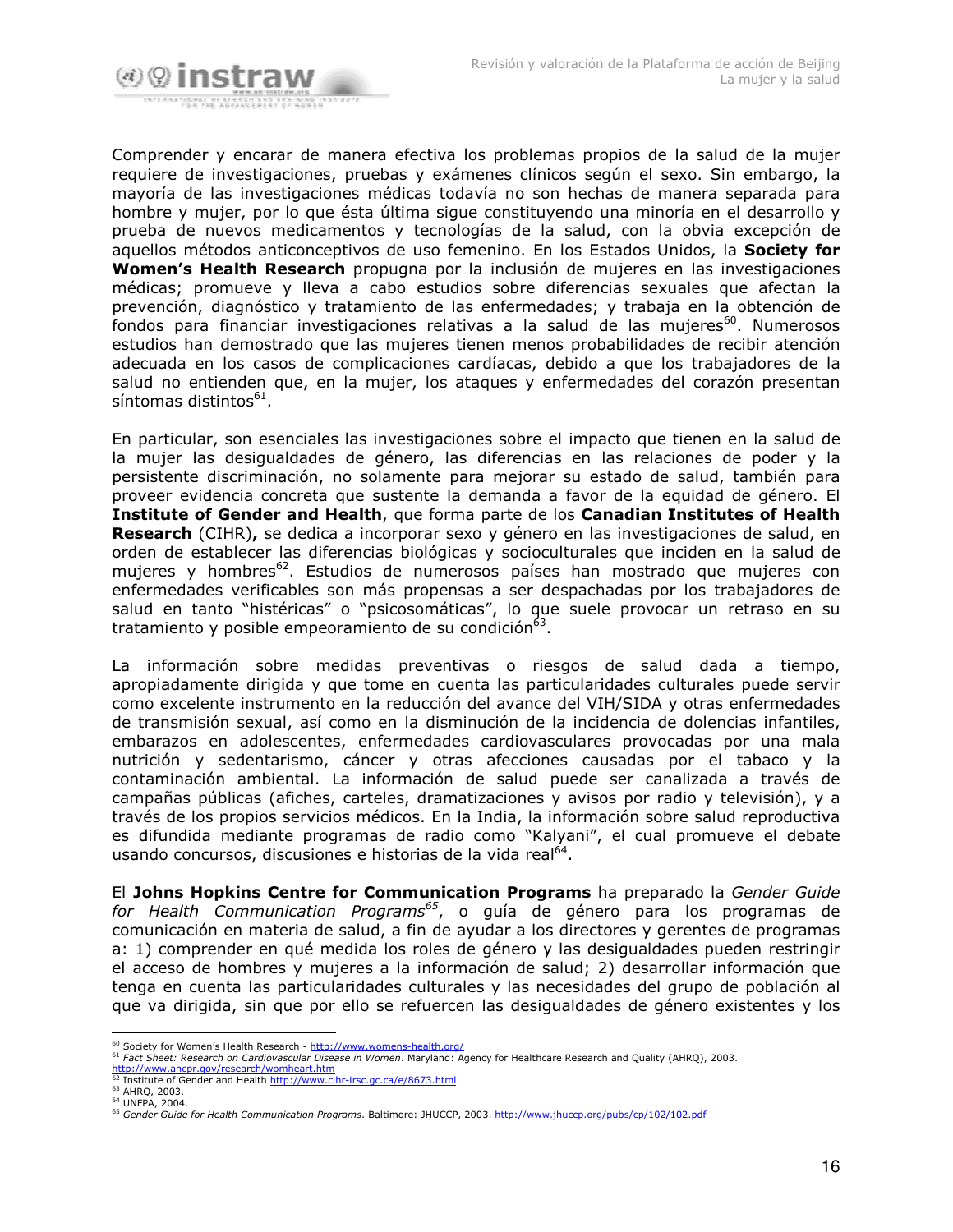

Comprender y encarar de manera efectiva los problemas propios de la salud de la mujer requiere de investigaciones, pruebas y exámenes clínicos según el sexo. Sin embargo, la mayoría de las investigaciones médicas todavía no son hechas de manera separada para hombre y mujer, por lo que ésta última sigue constituyendo una minoría en el desarrollo y prueba de nuevos medicamentos y tecnologías de la salud, con la obvia excepción de aquellos métodos anticonceptivos de uso femenino. En los Estados Unidos, la **Society for** Women's Health Research propugna por la inclusión de mujeres en las investigaciones médicas; promueve y lleva a cabo estudios sobre diferencias sexuales que afectan la prevención, diagnóstico y tratamiento de las enfermedades; y trabaja en la obtención de fondos para financiar investigaciones relativas a la salud de las mujeres<sup>60</sup>. Numerosos estudios han demostrado que las muieres tienen menos probabilidades de recibir atención adecuada en los casos de complicaciones cardíacas, debido a que los trabajadores de la salud no entienden que, en la mujer, los ataques y enfermedades del corazón presentan síntomas distintos<sup>61</sup>.

En particular, son esenciales las investigaciones sobre el impacto que tienen en la salud de la mujer las desigualdades de género, las diferencias en las relaciones de poder y la persistente discriminación, no solamente para mejorar su estado de salud, también para proveer evidencia concreta que sustente la demanda a favor de la equidad de género. El Institute of Gender and Health, que forma parte de los Canadian Institutes of Health Research (CIHR), se dedica a incorporar sexo y género en las investigaciones de salud, en orden de establecer las diferencias biológicas y socioculturales que inciden en la salud de mujeres y hombres<sup>62</sup>. Estudios de numerosos países han mostrado que mujeres con enfermedades verificables son más propensas a ser despachadas por los trabajadores de salud en tanto "histéricas" o "psicosomáticas", lo que suele provocar un retraso en su tratamiento y posible empeoramiento de su condición<sup>63</sup>.

La información sobre medidas preventivas o riesgos de salud dada a tiempo, apropiadamente dirigida y que tome en cuenta las particularidades culturales puede servir como excelente instrumento en la reducción del avance del VIH/SIDA y otras enfermedades de transmisión sexual, así como en la disminución de la incidencia de dolencias infantiles, embarazos en adolescentes, enfermedades cardiovasculares provocadas por una mala nutrición y sedentarismo, cáncer y otras afecciones causadas por el tabaco y la contaminación ambiental. La información de salud puede ser canalizada a través de campañas públicas (afiches, carteles, dramatizaciones y avisos por radio y televisión), y a través de los propios servicios médicos. En la India, la información sobre salud reproductiva es difundida mediante programas de radio como "Kalyani", el cual promueve el debate usando concursos, discusiones e historias de la vida real<sup>64</sup>.

El Johns Hopkins Centre for Communication Programs ha preparado la Gender Guide for Health Communication Programs<sup>65</sup>, o guía de género para los programas de comunicación en materia de salud, a fin de ayudar a los directores y gerentes de programas a: 1) comprender en qué medida los roles de género y las desigualdades pueden restringir el acceso de hombres y mujeres a la información de salud; 2) desarrollar información que tenga en cuenta las particularidades culturales y las necesidades del grupo de población al que va dirigida, sin que por ello se refuercen las desigualdades de género existentes y los

<sup>&</sup>lt;sup>60</sup> Society for Women's Health Research - http://www.womens-health.org/

<sup>&</sup>lt;sup>61</sup> Fact Sheet: Research on Cardiovascular Disease in Women. Maryland: Agency for Healthcare Research and Quality (AHRQ), 2003. http://www.ahcpr.gov/research/womheart.htm

<sup>&</sup>lt;sup>62</sup> Institute of Gender and Health http://www.cihr-irsc.gc.ca/e/8673.html

 $^{63}$  AHRQ, 2003. <sup>64</sup> UNFPA, 2004.

<sup>&</sup>lt;sup>65</sup> Gender Guide for Health Communication Programs. Baltimore: JHUCCP, 2003. http://www.jhuccp.org/pubs/cp/102/102.pdf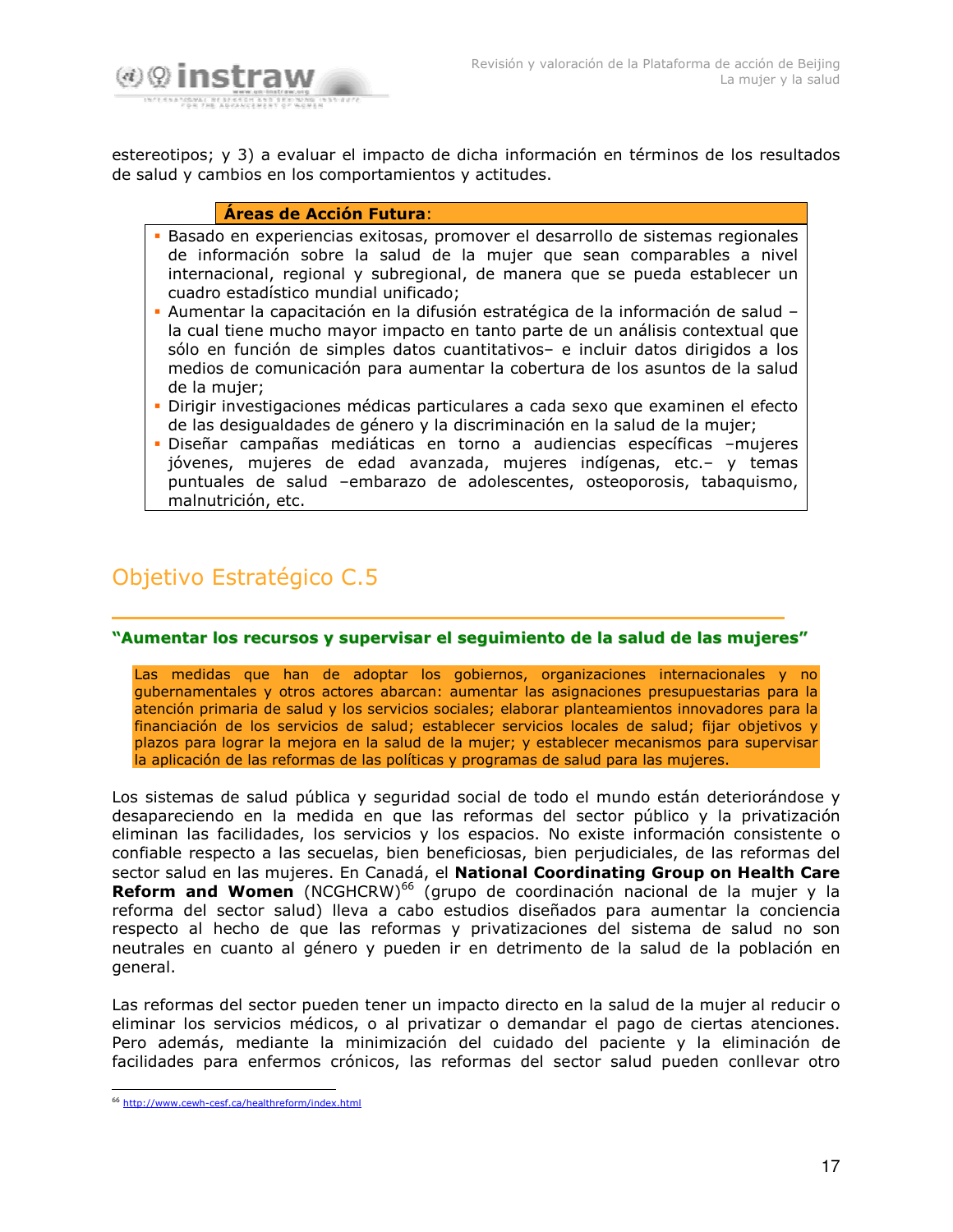

estereotipos; y 3) a evaluar el impacto de dicha información en términos de los resultados de salud y cambios en los comportamientos y actitudes.

#### Áreas de Acción Futura:

- Basado en experiencias exitosas, promover el desarrollo de sistemas regionales de información sobre la salud de la mujer que sean comparables a nivel internacional, regional y subregional, de manera que se pueda establecer un cuadro estadístico mundial unificado:
- Aumentar la capacitación en la difusión estratégica de la información de salud la cual tiene mucho mayor impacto en tanto parte de un análisis contextual que sólo en función de simples datos cuantitativos- e incluir datos dirigidos a los medios de comunicación para aumentar la cobertura de los asuntos de la salud de la muier:
- · Dirigir investigaciones médicas particulares a cada sexo que examinen el efecto de las desigualdades de género y la discriminación en la salud de la mujer;
- Diseñar campañas mediáticas en torno a audiencias específicas -mujeres jóvenes, mujeres de edad avanzada, mujeres indígenas, etc.- y temas puntuales de salud -embarazo de adolescentes, osteoporosis, tabaquismo, malnutrición, etc.

## Objetivo Estratégico C.5

#### "Aumentar los recursos y supervisar el seguimiento de la salud de las mujeres"

Las medidas que han de adoptar los gobiernos, organizaciones internacionales y no gubernamentales y otros actores abarcan: aumentar las asignaciones presupuestarias para la atención primaria de salud y los servicios sociales; elaborar planteamientos innovadores para la financiación de los servicios de salud; establecer servicios locales de salud; fijar objetivos y plazos para lograr la mejora en la salud de la mujer; y establecer mecanismos para supervisar la aplicación de las reformas de las políticas y programas de salud para las mujeres.

Los sistemas de salud pública y seguridad social de todo el mundo están deteriorándose y desapareciendo en la medida en que las reformas del sector público y la privatización eliminan las facilidades, los servicios y los espacios. No existe información consistente o confiable respecto a las secuelas, bien beneficiosas, bien perjudiciales, de las reformas del sector salud en las mujeres. En Canadá, el National Coordinating Group on Health Care Reform and Women (NCGHCRW)<sup>66</sup> (grupo de coordinación nacional de la mujer y la reforma del sector salud) lleva a cabo estudios diseñados para aumentar la conciencia respecto al hecho de que las reformas y privatizaciones del sistema de salud no son neutrales en cuanto al género y pueden ir en detrimento de la salud de la población en general.

Las reformas del sector pueden tener un impacto directo en la salud de la mujer al reducir o eliminar los servicios médicos, o al privatizar o demandar el pago de ciertas atenciones. Pero además, mediante la minimización del cuidado del paciente y la eliminación de facilidades para enfermos crónicos, las reformas del sector salud pueden conllevar otro

<sup>&</sup>lt;sup>66</sup> http://www.cewh-cesf.ca/healthreform/index.html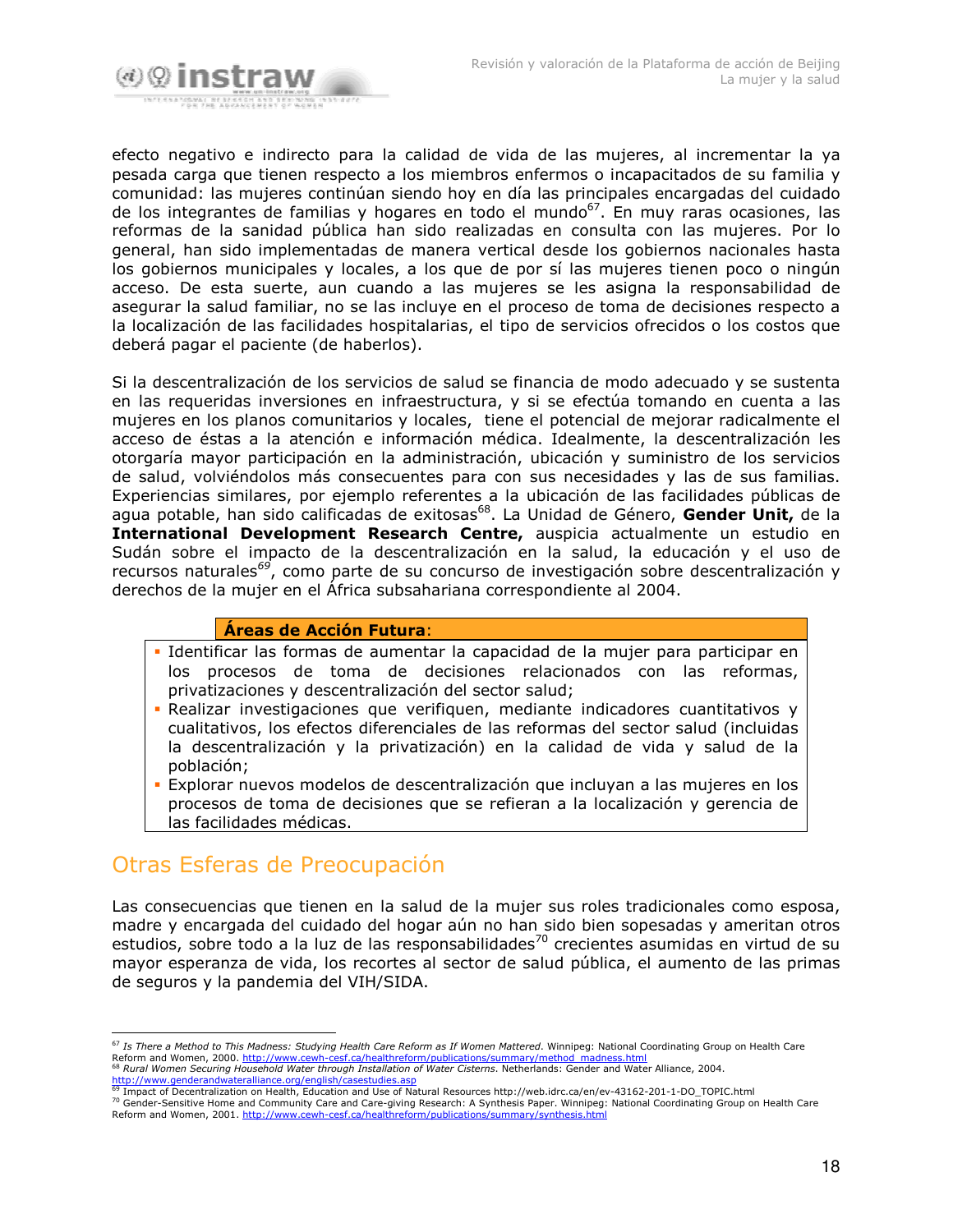

efecto negativo e indirecto para la calidad de vida de las mujeres, al incrementar la ya pesada carga que tienen respecto a los miembros enfermos o incapacitados de su familia y comunidad: las mujeres continúan siendo hoy en día las principales encargadas del cuidado de los integrantes de familias y hogares en todo el mundo<sup>67</sup>. En muy raras ocasiones, las reformas de la sanidad pública han sido realizadas en consulta con las mujeres. Por lo general, han sido implementadas de manera vertical desde los gobiernos nacionales hasta los gobiernos municipales y locales, a los que de por sí las mujeres tienen poco o ningún acceso. De esta suerte, aun cuando a las mujeres se les asigna la responsabilidad de asegurar la salud familiar, no se las incluye en el proceso de toma de decisiones respecto a la localización de las facilidades hospitalarias, el tipo de servicios ofrecidos o los costos que deberá pagar el paciente (de haberlos).

Si la descentralización de los servicios de salud se financia de modo adecuado y se sustenta en las requeridas inversiones en infraestructura, y si se efectúa tomando en cuenta a las mujeres en los planos comunitarios y locales, tiene el potencial de mejorar radicalmente el acceso de éstas a la atención e información médica. Idealmente, la descentralización les otorgaría mayor participación en la administración, ubicación y suministro de los servicios de salud, volviéndolos más consecuentes para con sus necesidades y las de sus familias. Experiencias similares, por ejemplo referentes a la ubicación de las facilidades públicas de aqua potable, han sido calificadas de exitosas<sup>68</sup>. La Unidad de Género, Gender Unit, de la International Development Research Centre, auspicia actualmente un estudio en Sudán sobre el impacto de la descentralización en la salud, la educación y el uso de recursos naturales<sup>69</sup>, como parte de su concurso de investigación sobre descentralización y derechos de la mujer en el África subsahariana correspondiente al 2004.

## Áreas de Acción Futura:

- · Identificar las formas de aumentar la capacidad de la mujer para participar en los procesos de toma de decisiones relacionados con las reformas, privatizaciones y descentralización del sector salud;
- Realizar investigaciones que verifiquen, mediante indicadores cuantitativos y cualitativos, los efectos diferenciales de las reformas del sector salud (incluidas la descentralización y la privatización) en la calidad de vida y salud de la población;
- · Explorar nuevos modelos de descentralización que incluyan a las mujeres en los procesos de toma de decisiones que se refieran a la localización y gerencia de las facilidades médicas.

## Otras Esferas de Preocupación

Las consecuencias que tienen en la salud de la mujer sus roles tradicionales como esposa, madre y encargada del cuidado del hogar aún no han sido bien sopesadas y ameritan otros estudios, sobre todo a la luz de las responsabilidades<sup>70</sup> crecientes asumidas en virtud de su mayor esperanza de vida, los recortes al sector de salud pública, el aumento de las primas de seguros y la pandemia del VIH/SIDA.

The Condensity of Health Care and Community Care and Care-giving Research: A Synthesis Paper. Winnipeg: National Coordinating Group on Health Care Reform and Women, 2001. http://www.cewh-cesf.ca/healthreform/publications/summary/synthesis.html

<sup>&</sup>lt;sup>67</sup> Is There a Method to This Madness: Studying Health Care Reform as If Women Mattered. Winnipeg: National Coordinating Group on Health Care Reform and Women, 2000. http://www.cewh-cesf.ca/healthreform/publications/summary/method\_madness.html<br><sup>68</sup> Pural Women Societies Usuan List With Care and the Care and the different publications/summary/method\_madness.html - Rural Women Securing Household Water through Installation of Water Cisterns. Netherlands: Gender and Water Alliance, 2004.

http://www.genderandwateralliance.org/english/casestudies.asp

<sup>&</sup>lt;sup>69</sup> Impact of Decentralization on Health, Education and Use of Natural Resources http://web.idrc.ca/en/ev-43162-201-1-DO\_TOPIC.html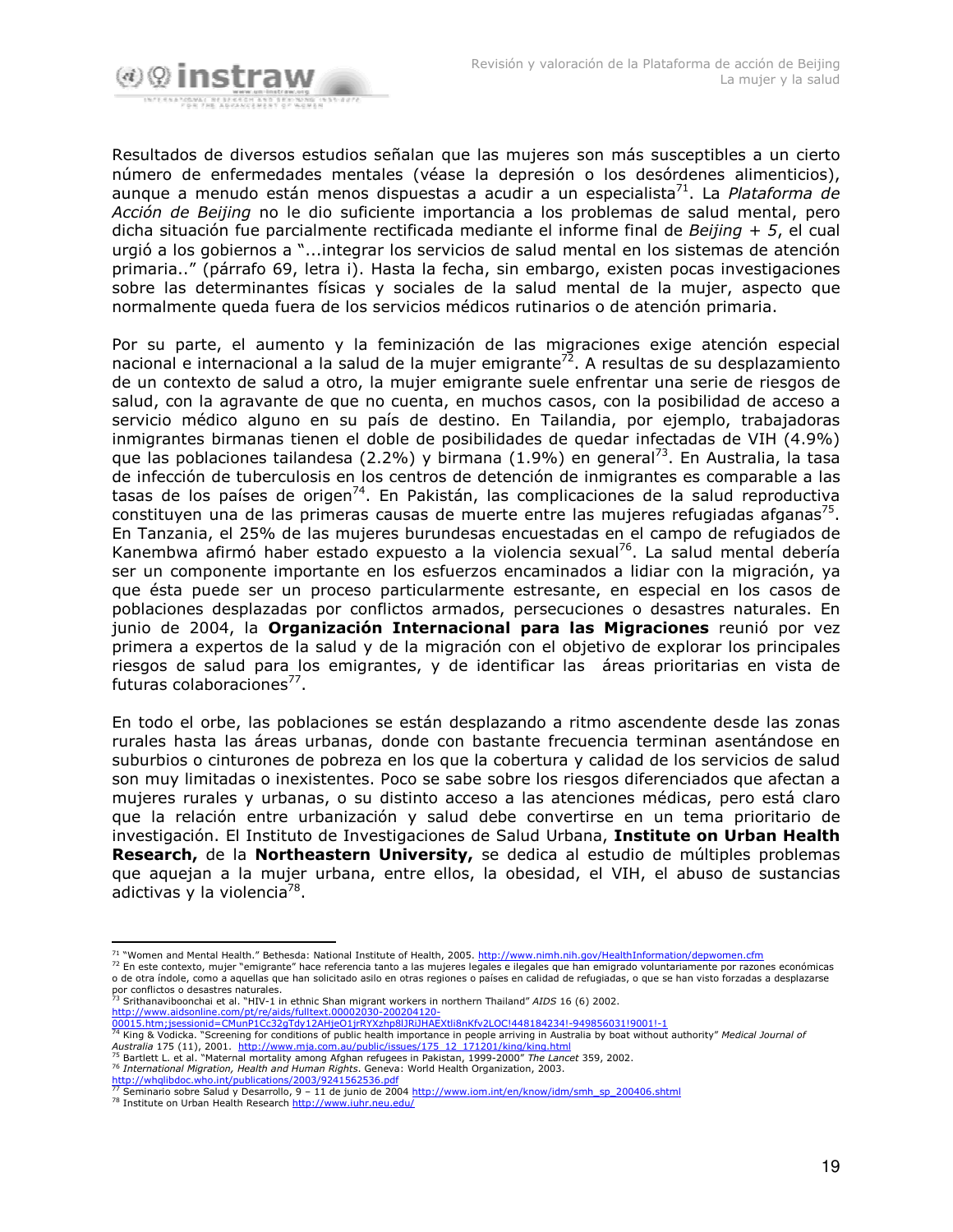

Resultados de diversos estudios señalan que las mujeres son más susceptibles a un cierto número de enfermedades mentales (véase la depresión o los desórdenes alimenticios), aunque a menudo están menos dispuestas a acudir a un especialista<sup>71</sup>. La Plataforma de Acción de Beijing no le dio suficiente importancia a los problemas de salud mental, pero dicha situación fue parcialmente rectificada mediante el informe final de Beijing +  $5$ , el cual urgió a los gobiernos a "...integrar los servicios de salud mental en los sistemas de atención primaria.." (párrafo 69, letra i). Hasta la fecha, sin embargo, existen pocas investigaciones sobre las determinantes físicas y sociales de la salud mental de la mujer, aspecto que normalmente queda fuera de los servicios médicos rutinarios o de atención primaria.

Por su parte, el aumento y la feminización de las migraciones exige atención especial nacional e internacional a la salud de la mujer emigrante<sup>72</sup>. A resultas de su desplazamiento de un contexto de salud a otro, la mujer emigrante suele enfrentar una serie de riesgos de salud, con la agravante de que no cuenta, en muchos casos, con la posibilidad de acceso a servicio médico alguno en su país de destino. En Tailandia, por ejemplo, trabajadoras inmigrantes birmanas tienen el doble de posibilidades de quedar infectadas de VIH (4.9%) que las poblaciones tailandesa (2.2%) y birmana (1.9%) en general<sup>73</sup>. En Australia, la tasa de infección de tuberculosis en los centros de detención de inmigrantes es comparable a las tasas de los países de origen<sup>74</sup>. En Pakistán, las complicaciones de la salud reproductiva constituyen una de las primeras causas de muerte entre las mujeres refugiadas afganas<sup>75</sup>. En Tanzania, el 25% de las mujeres burundesas encuestadas en el campo de refugiados de Kanembwa afirmó haber estado expuesto a la violencia sexual<sup>76</sup>. La salud mental debería ser un componente importante en los esfuerzos encaminados a lidiar con la migración, ya que ésta puede ser un proceso particularmente estresante, en especial en los casos de poblaciones desplazadas por conflictos armados, persecuciones o desastres naturales. En junio de 2004, la Organización Internacional para las Migraciones reunió por vez primera a expertos de la salud y de la migración con el objetivo de explorar los principales riesgos de salud para los emigrantes, y de identificar las áreas prioritarias en vista de futuras colaboraciones<sup>77</sup>.

En todo el orbe, las poblaciones se están desplazando a ritmo ascendente desde las zonas rurales hasta las áreas urbanas, donde con bastante frecuencia terminan asentándose en suburbios o cinturones de pobreza en los que la cobertura y calidad de los servicios de salud son muy limitadas o inexistentes. Poco se sabe sobre los riesgos diferenciados que afectan a mujeres rurales y urbanas, o su distinto acceso a las atenciones médicas, pero está claro que la relación entre urbanización y salud debe convertirse en un tema prioritario de investigación. El Instituto de Investigaciones de Salud Urbana, Institute on Urban Health Research, de la Northeastern University, se dedica al estudio de múltiples problemas que aquejan a la mujer urbana, entre ellos, la obesidad, el VIH, el abuso de sustancias adictivas y la violencia<sup>78</sup>.

- 
- http://www.aidsonline.com/pt/re/aids/fulltext.00002030-200204120-<br>00015.htm;jsessionid=CMunP1Cc32gTdy12AHjeO1jrRYXzhp8lJRiJHAEXtli8nKfv2LOC!448184234!-949856031!9001!-1<br><sup>74</sup> King & Vodicka. "Screening for conditions of pub Australia 175 (11), 2001. http://www.mja.com.au/public/issues/175 12 171201/king/king.html
- Bartlett L. et al. "Maternal mortality among Afghan refugees in Pakistan, 1999-2000" The Lancet 359, 2002. Thermational Migration, Health and Human Rights. Geneva: World Health Organization, 2003.

http://whqlibdoc.who.int/publications/2003/9241562536.pdf

<sup>71 &</sup>quot;Women and Mental Health." Bethesda: National Institute of Health, 2005. http://www.nimh.nih.gov/HealthInformation/depwomen.cfm

<sup>72</sup> En este contexto, mujer "emigrante" hace referencia tanto a las mujeres legales e ilegales que han emigrado voluntariamente por razones económicas o de otra índole, como a aquellas que han solicitado asilo en otras regiones o países en calidad de refugiadas, o que se han visto forzadas a desplazarse por conflictos o desastres naturales.<br>
To conflictos o desastres naturales.<br>
<sup>73</sup> Srithanaviboonchai et al. "HIV-1 in ethnic Shan migrant workers in northern Thailand" AIDS 16 (6) 2002.

<sup>77</sup> Seminario sobre Salud y Desarrollo, 9 - 11 de junio de 2004 http://www.iom.int/en/know/idm/smh sp 200406.shtml

<sup>&</sup>lt;sup>78</sup> Institute on Urban Health Research http://www.iuhr.neu.edu/